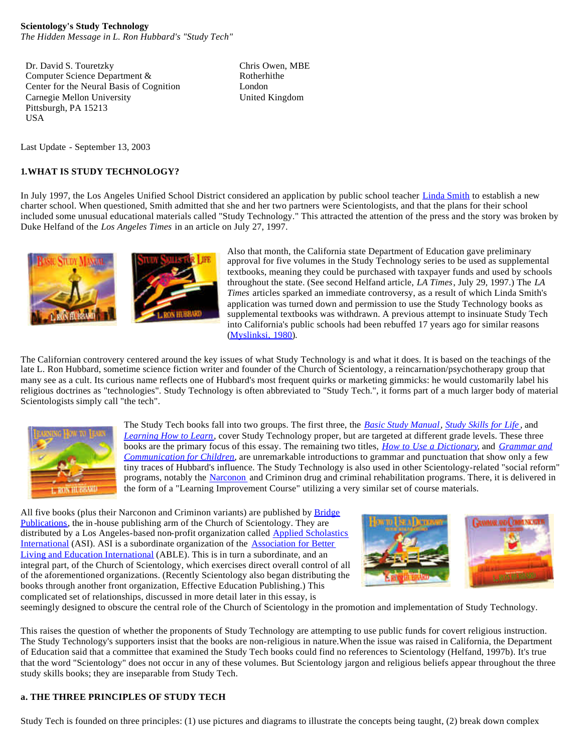Dr. David S. Touretzky Computer Science Department & Center for the Neural Basis of Cognition Carnegie Mellon University Pittsburgh, PA 15213 USA

Chris Owen, MBE Rotherhithe London United Kingdom

Last Update - September 13, 2003

### **1.WHAT IS STUDY TECHNOLOGY?**

In July 1997, the Los Angeles Unified School District considered an application by public school teacher Linda Smith to establish a new charter school. When questioned, Smith admitted that she and her two partners were Scientologists, and that the plans for their school included some unusual educational materials called "Study Technology." This attracted the attention of the press and the story was broken by Duke Helfand of the *Los Angeles Times* in an article on July 27, 1997.



Also that month, the California state Department of Education gave preliminary approval for five volumes in the Study Technology series to be used as supplemental textbooks, meaning they could be purchased with taxpayer funds and used by schools throughout the state. (See second Helfand article, *LA Times*, July 29, 1997.) The *LA Times* articles sparked an immediate controversy, as a result of which Linda Smith's application was turned down and permission to use the Study Technology books as supplemental textbooks was withdrawn. A previous attempt to insinuate Study Tech into California's public schools had been rebuffed 17 years ago for similar reasons (Myslinksi, 1980).

The Californian controvery centered around the key issues of what Study Technology is and what it does. It is based on the teachings of the late L. Ron Hubbard, sometime science fiction writer and founder of the Church of Scientology, a reincarnation/psychotherapy group that many see as a cult. Its curious name reflects one of Hubbard's most frequent quirks or marketing gimmicks: he would customarily label his religious doctrines as "technologies". Study Technology is often abbreviated to "Study Tech.", it forms part of a much larger body of material Scientologists simply call "the tech".



The Study Tech books fall into two groups. The first three, the *Basic Study Manual*, *Study Skills for Life* , and *Learning How to Learn*, cover Study Technology proper, but are targeted at different grade levels. These three books are the primary focus of this essay. The remaining two titles, *How to Use a Dictionary*, and *Grammar and Communication for Children*, are unremarkable introductions to grammar and punctuation that show only a few tiny traces of Hubbard's influence. The Study Technology is also used in other Scientology-related "social reform" programs, notably the Narconon and Criminon drug and criminal rehabilitation programs. There, it is delivered in the form of a "Learning Improvement Course" utilizing a very similar set of course materials.

All five books (plus their Narconon and Criminon variants) are published by **Bridge** Publications, the in -house publishing arm of the Church of Scientology. They are distributed by a Los Angeles-based non-profit organization called Applied Scholastics International (ASI). ASI is a subordinate organization of the Association for Better Living and Education International (ABLE). This is in turn a subordinate, and an integral part, of the Church of Scientology, which exercises direct overall control of all of the aforementioned organizations. (Recently Scientology also began distributing the books through another front organization, Effective Education Publishing.) This complicated set of relationships, discussed in more detail later in this essay, is



seemingly designed to obscure the central role of the Church of Scientology in the promotion and implementation of Study Technology.

This raises the question of whether the proponents of Study Technology are attempting to use public funds for covert religious instruction. The Study Technology's supporters insist that the books are non-religious in nature.When the issue was raised in California, the Department of Education said that a committee that examined the Study Tech books could find no references to Scientology (Helfand, 1997b). It's true that the word "Scientology" does not occur in any of these volumes. But Scientology jargon and religious beliefs appear throughout the three study skills books; they are inseparable from Study Tech.

# **a. THE THREE PRINCIPLES OF STUDY TECH**

Study Tech is founded on three principles: (1) use pictures and diagrams to illustrate the concepts being taught, (2) break down complex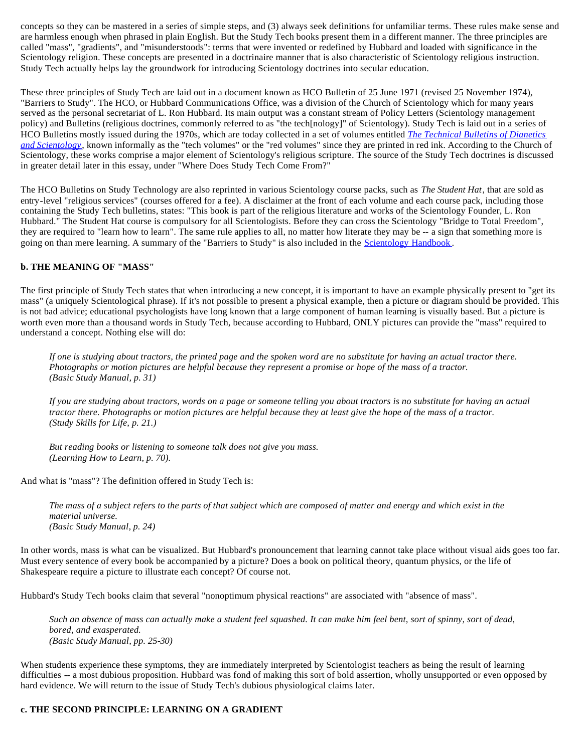concepts so they can be mastered in a series of simple steps, and (3) always seek definitions for unfamiliar terms. These rules make sense and are harmless enough when phrased in plain English. But the Study Tech books present them in a different manner. The three principles are called "mass", "gradients", and "misunderstoods": terms that were invented or redefined by Hubbard and loaded with significance in the Scientology religion. These concepts are presented in a doctrinaire manner that is also characteristic of Scientology religious instruction. Study Tech actually helps lay the groundwork for introducing Scientology doctrines into secular education.

These three principles of Study Tech are laid out in a document known as HCO Bulletin of 25 June 1971 (revised 25 November 1974), "Barriers to Study". The HCO, or Hubbard Communications Office, was a division of the Church of Scientology which for many years served as the personal secretariat of L. Ron Hubbard. Its main output was a constant stream of Policy Letters (Scientology management policy) and Bulletins (religious doctrines, commonly referred to as "the tech[nology]" of Scientology). Study Tech is laid out in a series of HCO Bulletins mostly issued during the 1970s, which are today collected in a set of volumes entitled *The Technical Bulletins of Dianetics and Scientology*, known informally as the "tech volumes" or the "red volumes" since they are printed in red ink. According to the Church of Scientology, these works comprise a major element of Scientology's religious scripture. The source of the Study Tech doctrines is discussed in greater detail later in this essay, under "Where Does Study Tech Come From?"

The HCO Bulletins on Study Technology are also reprinted in various Scientology course packs, such as *The Student Hat*, that are sold as entry-level "religious services" (courses offered for a fee). A disclaimer at the front of each volume and each course pack, including those containing the Study Tech bulletins, states: "This book is part of the religious literature and works of the Scientology Founder, L. Ron Hubbard." The Student Hat course is compulsory for all Scientologists. Before they can cross the Scientology "Bridge to Total Freedom", they are required to "learn how to learn". The same rule applies to all, no matter how literate they may be -- a sign that something more is going on than mere learning. A summary of the "Barriers to Study" is also included in the Scientology Handbook.

# **b. THE MEANING OF "MASS"**

The first principle of Study Tech states that when introducing a new concept, it is important to have an example physically present to "get its mass" (a uniquely Scientological phrase). If it's not possible to present a physical example, then a picture or diagram should be provided. This is not bad advice; educational psychologists have long known that a large component of human learning is visually based. But a picture is worth even more than a thousand words in Study Tech, because according to Hubbard, ONLY pictures can provide the "mass" required to understand a concept. Nothing else will do:

*If one is studying about tractors, the printed page and the spoken word are no substitute for having an actual tractor there. Photographs or motion pictures are helpful because they represent a promise or hope of the mass of a tractor. (Basic Study Manual, p. 31)*

*If you are studying about tractors, words on a page or someone telling you about tractors is no substitute for having an actual tractor there. Photographs or motion pictures are helpful because they at least give the hope of the mass of a tractor. (Study Skills for Life, p. 21.)* 

*But reading books or listening to someone talk does not give you mass. (Learning How to Learn, p. 70).* 

And what is "mass"? The definition offered in Study Tech is:

*The mass of a subject refers to the parts of that subject which are composed of matter and energy and which exist in the material universe. (Basic Study Manual, p. 24)* 

In other words, mass is what can be visualized. But Hubbard's pronouncement that learning cannot take place without visual aids goes too far. Must every sentence of every book be accompanied by a picture? Does a book on political theory, quantum physics, or the life of Shakespeare require a picture to illustrate each concept? Of course not.

Hubbard's Study Tech books claim that several "nonoptimum physical reactions" are associated with "absence of mass".

*Such an absence of mass can actually make a student feel squashed. It can make him feel bent, sort of spinny, sort of dead, bored, and exasperated. (Basic Study Manual, pp. 25-30)* 

When students experience these symptoms, they are immediately interpreted by Scientologist teachers as being the result of learning difficulties -- a most dubious proposition. Hubbard was fond of making this sort of bold assertion, wholly unsupported or even opposed by hard evidence. We will return to the issue of Study Tech's dubious physiological claims later.

# **c. THE SECOND PRINCIPLE: LEARNING ON A GRADIENT**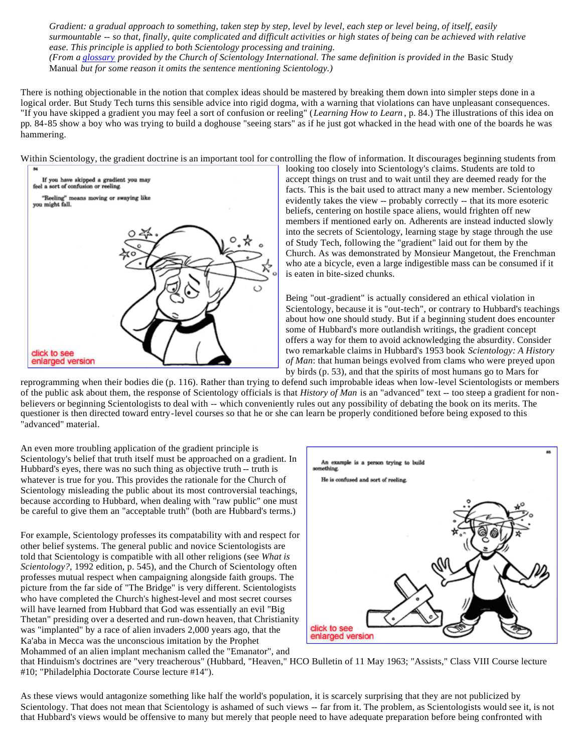*Gradient: a gradual approach to something, taken step by step, level by level, each step or level being, of itself, easily surmountable -- so that, finally, quite complicated and difficult activities or high states of being can be achieved with relative ease. This principle is applied to both Scientology processing and training. (From a glossary provided by the Church of Scientology International. The same definition is provided in the Basic Study* Manual *but for some reason it omits the sentence mentioning Scientology.)*

There is nothing objectionable in the notion that complex ideas should be mastered by breaking them down into simpler steps done in a logical order. But Study Tech turns this sensible advice into rigid dogma, with a warning that violations can have unpleasant consequences. "If you have skipped a gradient you may feel a sort of confusion or reeling" (*Learning How to Learn* , p. 84.) The illustrations of this idea on pp. 84-85 show a boy who was trying to build a doghouse "seeing stars" as if he just got whacked in the head with one of the boards he was hammering.

Within Scientology, the gradient doctrine is an important tool for controlling the flow of information. It discourages beginning students from



looking too closely into Scientology's claims. Students are told to accept things on trust and to wait until they are deemed ready for the facts. This is the bait used to attract many a new member. Scientology evidently takes the view -- probably correctly -- that its more esoteric beliefs, centering on hostile space aliens, would frighten off new members if mentioned early on. Adherents are instead inducted slowly into the secrets of Scientology, learning stage by stage through the use of Study Tech, following the "gradient" laid out for them by the Church. As was demonstrated by Monsieur Mangetout, the Frenchman who ate a bicycle, even a large indigestible mass can be consumed if it is eaten in bite-sized chunks.

Being "out-gradient" is actually considered an ethical violation in Scientology, because it is "out-tech", or contrary to Hubbard's teachings about how one should study. But if a beginning student does encounter some of Hubbard's more outlandish writings, the gradient concept offers a way for them to avoid acknowledging the absurdity. Consider two remarkable claims in Hubbard's 1953 book *Scientology: A History of Man*: that human beings evolved from clams who were preyed upon by birds (p. 53), and that the spirits of most humans go to Mars for

reprogramming when their bodies die (p. 116). Rather than trying to defend such improbable ideas when low-level Scientologists or members of the public ask about them, the response of Scientology officials is that *History of Man* is an "advanced" text -- too steep a gradient for nonbelievers or beginning Scientologists to deal with -- which conveniently rules out any possibility of debating the book on its merits. The questioner is then directed toward entry-level courses so that he or she can learn be properly conditioned before being exposed to this "advanced" material.

An even more troubling application of the gradient principle is Scientology's belief that truth itself must be approached on a gradient. In Hubbard's eyes, there was no such thing as objective truth -- truth is whatever is true for you. This provides the rationale for the Church of Scientology misleading the public about its most controversial teachings, because according to Hubbard, when dealing with "raw public" one must be careful to give them an "acceptable truth" (both are Hubbard's terms.)

For example, Scientology professes its compatability with and respect for other belief systems. The general public and novice Scientologists are told that Scientology is compatible with all other religions (see *What is Scientology?*, 1992 edition, p. 545), and the Church of Scientology often professes mutual respect when campaigning alongside faith groups. The picture from the far side of "The Bridge" is very different. Scientologists who have completed the Church's highest-level and most secret courses will have learned from Hubbard that God was essentially an evil "Big Thetan" presiding over a deserted and run-down heaven, that Christianity was "implanted" by a race of alien invaders 2,000 years ago, that the Ka'aba in Mecca was the unconscious imitation by the Prophet Mohammed of an alien implant mechanism called the "Emanator", and



that Hinduism's doctrines are "very treacherous" (Hubbard, "Heaven," HCO Bulletin of 11 May 1963; "Assists," Class VIII Course lecture #10; "Philadelphia Doctorate Course lecture #14").

As these views would antagonize something like half the world's population, it is scarcely surprising that they are not publicized by Scientology. That does not mean that Scientology is ashamed of such views -- far from it. The problem, as Scientologists would see it, is not that Hubbard's views would be offensive to many but merely that people need to have adequate preparation before being confronted with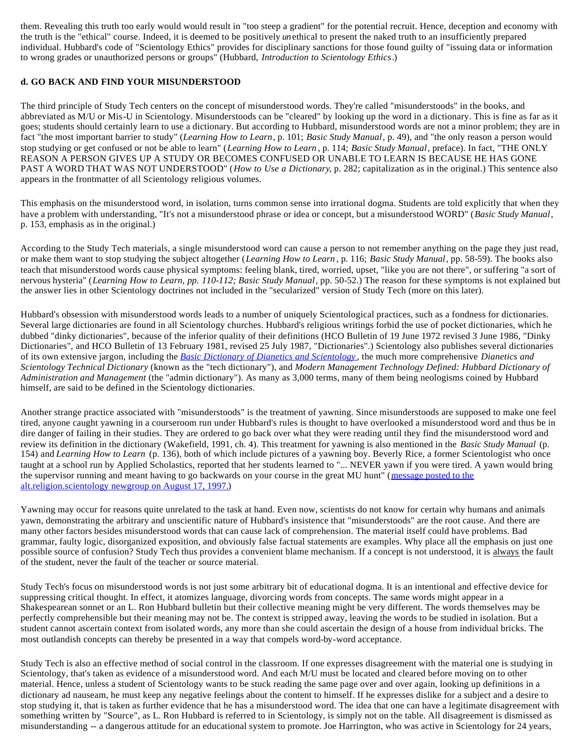them. Revealing this truth too early would would result in "too steep a gradient" for the potential recruit. Hence, deception and economy with the truth is the "ethical" course. Indeed, it is deemed to be positively *un*ethical to present the naked truth to an insufficiently prepared individual. Hubbard's code of "Scientology Ethics" provides for disciplinary sanctions for those found guilty of "issuing data or information to wrong grades or unauthorized persons or groups" (Hubbard, *Introduction to Scientology Ethics*.)

# **d. GO BACK AND FIND YOUR MISUNDERSTOOD**

The third principle of Study Tech centers on the concept of misunderstood words. They're called "misunderstoods" in the books, and abbreviated as M/U or Mis-U in Scientology. Misunderstoods can be "cleared" by looking up the word in a dictionary. This is fine as far as it goes; students should certainly learn to use a dictionary. But according to Hubbard, misunderstood words are not a minor problem; they are in fact "the most important barrier to study" (*Learning How to Learn*, p. 101; *Basic Study Manual*, p. 49), and "the only reason a person would stop studying or get confused or not be able to learn" (*Learning How to Learn* , p. 114; *Basic Study Manual*, preface). In fact, "THE ONLY REASON A PERSON GIVES UP A STUDY OR BECOMES CONFUSED OR UNABLE TO LEARN IS BECAUSE HE HAS GONE PAST A WORD THAT WAS NOT UNDERSTOOD" (*How to Use a Dictionary*, p. 282; capitalization as in the original.) This sentence also appears in the frontmatter of all Scientology religious volumes.

This emphasis on the misunderstood word, in isolation, turns common sense into irrational dogma. Students are told explicitly that when they have a problem with understanding, "It's not a misunderstood phrase or idea or concept, but a misunderstood WORD" (*Basic Study Manual*, p. 153, emphasis as in the original.)

According to the Study Tech materials, a single misunderstood word can cause a person to not remember anything on the page they just read, or make them want to stop studying the subject altogether (*Learning How to Learn* , p. 116; *Basic Study Manual*, pp. 58-59). The books also teach that misunderstood words cause physical symptoms: feeling blank, tired, worried, upset, "like you are not there", or suffering "a sort of nervous hysteria" (*Learning How to Learn, pp. 110-112; Basic Study Manual*, pp. 50-52.) The reason for these symptoms is not explained but the answer lies in other Scientology doctrines not included in the "secularized" version of Study Tech (more on this later).

Hubbard's obsession with misunderstood words leads to a number of uniquely Scientological practices, such as a fondness for dictionaries. Several large dictionaries are found in all Scientology churches. Hubbard's religious writings forbid the use of pocket dictionaries, which he dubbed "dinky dictionaries", because of the inferior quality of their definitions (HCO Bulletin of 19 June 1972 revised 3 June 1986, "Dinky Dictionaries", and HCO Bulletin of 13 February 1981, revised 25 July 1987, "Dictionaries".) Scientology also publishes several dictionaries of its own extensive jargon, including the *Basic Dictionary of Dianetics and Scientology* , the much more comprehensive *Dianetics and Scientology Technical Dictionary* (known as the "tech dictionary"), and *Modern Management Technology Defined: Hubbard Dictionary of Administration and Management* (the "admin dictionary"). As many as 3,000 terms, many of them being neologisms coined by Hubbard himself, are said to be defined in the Scientology dictionaries.

Another strange practice associated with "misunderstoods" is the treatment of yawning. Since misunderstoods are supposed to make one feel tired, anyone caught yawning in a courseroom run under Hubbard's rules is thought to have overlooked a misunderstood word and thus be in dire danger of failing in their studies. They are ordered to go back over what they were reading until they find the misunderstood word and review its definition in the dictionary (Wakefield, 1991, ch. 4). This treatment for yawning is also mentioned in the *Basic Study Manual* (p. 154) and *Learning How to Learn* (p. 136), both of which include pictures of a yawning boy. Beverly Rice, a former Scientologist who once taught at a school run by Applied Scholastics, reported that her students learned to "... NEVER yawn if you were tired. A yawn would bring the supervisor running and meant having to go backwards on your course in the great MU hunt" (message posted to the alt.religion.scientology newgroup on August 17, 1997.)

Yawning may occur for reasons quite unrelated to the task at hand. Even now, scientists do not know for certain why humans and animals yawn, demonstrating the arbitrary and unscientific nature of Hubbard's insistence that "misunderstoods" are the root cause. And there are many other factors besides misunderstood words that can cause lack of comprehension. The material itself could have problems. Bad grammar, faulty logic, disorganized exposition, and obviously false factual statements are examples. Why place all the emphasis on just one possible source of confusion? Study Tech thus provides a convenient blame mechanism. If a concept is not understood, it is always the fault of the student, never the fault of the teacher or source material.

Study Tech's focus on misunderstood words is not just some arbitrary bit of educational dogma. It is an intentional and effective device for suppressing critical thought. In effect, it atomizes language, divorcing words from concepts. The same words might appear in a Shakespearean sonnet or an L. Ron Hubbard bulletin but their collective meaning might be very different. The words themselves may be perfectly comprehensible but their meaning may not be. The context is stripped away, leaving the words to be studied in isolation. But a student cannot ascertain context from isolated words, any more than she could ascertain the design of a house from individual bricks. The most outlandish concepts can thereby be presented in a way that compels word-by-word acceptance.

Study Tech is also an effective method of social control in the classroom. If one expresses disagreement with the material one is studying in Scientology, that's taken as evidence of a misunderstood word. And each M/U must be located and cleared before moving on to other material. Hence, unless a student of Scientology wants to be stuck reading the same page over and over again, looking up definitions in a dictionary ad nauseam, he must keep any negative feelings about the content to himself. If he expresses dislike for a subject and a desire to stop studying it, that is taken as further evidence that he has a misunderstood word. The idea that one can have a legitimate disagreement with something written by "Source", as L. Ron Hubbard is referred to in Scientology, is simply not on the table. All disagreement is dismissed as misunderstanding -- a dangerous attitude for an educational system to promote. Joe Harrington, who was active in Scientology for 24 years,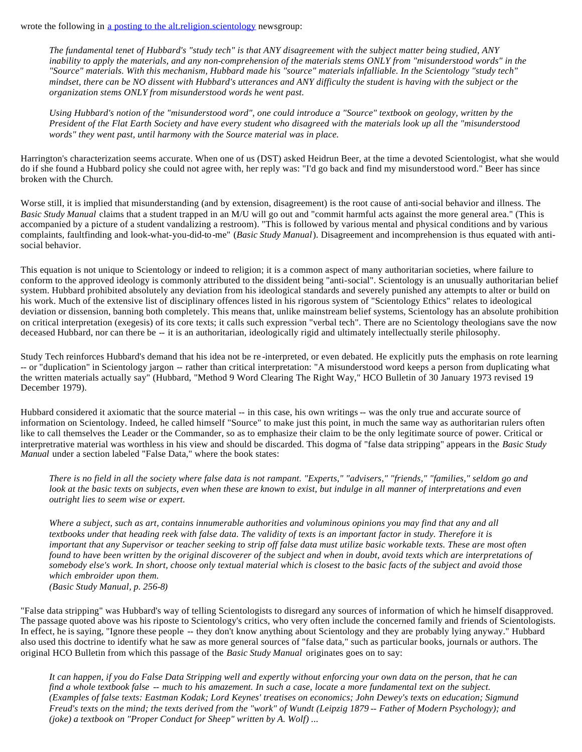wrote the following in a posting to the alt.religion.scientology newsgroup:

*The fundamental tenet of Hubbard's "study tech" is that ANY disagreement with the subject matter being studied, ANY inability to apply the materials, and any non-comprehension of the materials stems ONLY from "misunderstood words" in the "Source" materials. With this mechanism, Hubbard made his "source" materials infalliable. In the Scientology "study tech" mindset, there can be NO dissent with Hubbard's utterances and ANY difficulty the student is having with the subject or the organization stems ONLY from misunderstood words he went past.*

*Using Hubbard's notion of the "misunderstood word", one could introduce a "Source" textbook on geology, written by the President of the Flat Earth Society and have every student who disagreed with the materials look up all the "misunderstood words" they went past, until harmony with the Source material was in place.* 

Harrington's characterization seems accurate. When one of us (DST) asked Heidrun Beer, at the time a devoted Scientologist, what she would do if she found a Hubbard policy she could not agree with, her reply was: "I'd go back and find my misunderstood word." Beer has since broken with the Church.

Worse still, it is implied that misunderstanding (and by extension, disagreement) is the root cause of anti-social behavior and illness. The *Basic Study Manual* claims that a student trapped in an M/U will go out and "commit harmful acts against the more general area." (This is accompanied by a picture of a student vandalizing a restroom). "This is followed by various mental and physical conditions and by various complaints, faultfinding and look-what-you-did-to-me" (*Basic Study Manual*). Disagreement and incomprehension is thus equated with antisocial behavior.

This equation is not unique to Scientology or indeed to religion; it is a common aspect of many authoritarian societies, where failure to conform to the approved ideology is commonly attributed to the dissident being "anti-social". Scientology is an unusually authoritarian belief system. Hubbard prohibited absolutely any deviation from his ideological standards and severely punished any attempts to alter or build on his work. Much of the extensive list of disciplinary offences listed in his rigorous system of "Scientology Ethics" relates to ideological deviation or dissension, banning both completely. This means that, unlike mainstream belief systems, Scientology has an absolute prohibition on critical interpretation (exegesis) of its core texts; it calls such expression "verbal tech". There are no Scientology theologians save the now deceased Hubbard, nor can there be -- it is an authoritarian, ideologically rigid and ultimately intellectually sterile philosophy.

Study Tech reinforces Hubbard's demand that his idea not be re -interpreted, or even debated. He explicitly puts the emphasis on rote learning -- or "duplication" in Scientology jargon -- rather than critical interpretation: "A misunderstood word keeps a person from duplicating what the written materials actually say" (Hubbard, "Method 9 Word Clearing The Right Way," HCO Bulletin of 30 January 1973 revised 19 December 1979).

Hubbard considered it axiomatic that the source material -- in this case, his own writings -- was the only true and accurate source of information on Scientology. Indeed, he called himself "Source" to make just this point, in much the same way as authoritarian rulers often like to call themselves the Leader or the Commander, so as to emphasize their claim to be the only legitimate source of power. Critical or interpretrative material was worthless in his view and should be discarded. This dogma of "false data stripping" appears in the *Basic Study Manual* under a section labeled "False Data," where the book states:

*There is no field in all the society where false data is not rampant. "Experts," "advisers," "friends," "families," seldom go and look at the basic texts on subjects, even when these are known to exist, but indulge in all manner of interpretations and even outright lies to seem wise or expert.*

*Where a subject, such as art, contains innumerable authorities and voluminous opinions you may find that any and all textbooks under that heading reek with false data. The validity of texts is an important factor in study. Therefore it is important that any Supervisor or teacher seeking to strip off false data must utilize basic workable texts. These are most often found to have been written by the original discoverer of the subject and when in doubt, avoid texts which are interpretations of somebody else's work. In short, choose only textual material which is closest to the basic facts of the subject and avoid those which embroider upon them. (Basic Study Manual, p. 256-8)*

"False data stripping" was Hubbard's way of telling Scientologists to disregard any sources of information of which he himself disapproved. The passage quoted above was his riposte to Scientology's critics, who very often include the concerned family and friends of Scientologists. In effect, he is saying, "Ignore these people -- they don't know anything about Scientology and they are probably lying anyway." Hubbard also used this doctrine to identify what he saw as more general sources of "false data," such as particular books, journals or authors. The original HCO Bulletin from which this passage of the *Basic Study Manual* originates goes on to say:

*It can happen, if you do False Data Stripping well and expertly without enforcing your own data on the person, that he can find a whole textbook false -- much to his amazement. In such a case, locate a more fundamental text on the subject. (Examples of false texts: Eastman Kodak; Lord Keynes' treatises on economics; John Dewey's texts on education; Sigmund Freud's texts on the mind; the texts derived from the "work" of Wundt (Leipzig 1879 -- Father of Modern Psychology); and (joke) a textbook on "Proper Conduct for Sheep" written by A. Wolf) ...*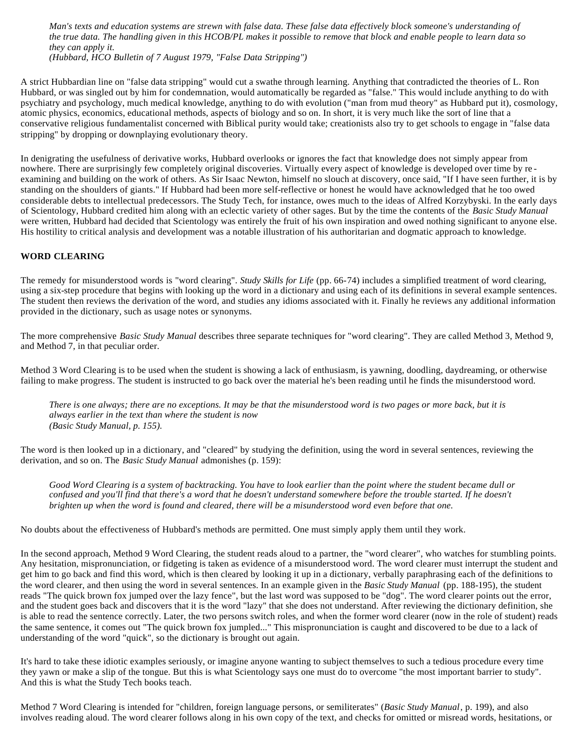*Man's texts and education systems are strewn with false data. These false data effectively block someone's understanding of the true data. The handling given in this HCOB/PL makes it possible to remove that block and enable people to learn data so they can apply it. (Hubbard, HCO Bulletin of 7 August 1979, "False Data Stripping")*

A strict Hubbardian line on "false data stripping" would cut a swathe through learning. Anything that contradicted the theories of L. Ron Hubbard, or was singled out by him for condemnation, would automatically be regarded as "false." This would include anything to do with psychiatry and psychology, much medical knowledge, anything to do with evolution ("man from mud theory" as Hubbard put it), cosmology, atomic physics, economics, educational methods, aspects of biology and so on. In short, it is very much like the sort of line that a conservative religious fundamentalist concerned with Biblical purity would take; creationists also try to get schools to engage in "false data stripping" by dropping or downplaying evolutionary theory.

In denigrating the usefulness of derivative works, Hubbard overlooks or ignores the fact that knowledge does not simply appear from nowhere. There are surprisingly few completely original discoveries. Virtually every aspect of knowledge is developed over time by re examining and building on the work of others. As Sir Isaac Newton, himself no slouch at discovery, once said, "If I have seen further, it is by standing on the shoulders of giants." If Hubbard had been more self-reflective or honest he would have acknowledged that he too owed considerable debts to intellectual predecessors. The Study Tech, for instance, owes much to the ideas of Alfred Korzybyski. In the early days of Scientology, Hubbard credited him along with an eclectic variety of other sages. But by the time the contents of the *Basic Study Manual* were written, Hubbard had decided that Scientology was entirely the fruit of his own inspiration and owed nothing significant to anyone else. His hostility to critical analysis and development was a notable illustration of his authoritarian and dogmatic approach to knowledge.

# **WORD CLEARING**

The remedy for misunderstood words is "word clearing". *Study Skills for Life* (pp. 66-74) includes a simplified treatment of word clearing, using a six-step procedure that begins with looking up the word in a dictionary and using each of its definitions in several example sentences. The student then reviews the derivation of the word, and studies any idioms associated with it. Finally he reviews any additional information provided in the dictionary, such as usage notes or synonyms.

The more comprehensive *Basic Study Manual* describes three separate techniques for "word clearing". They are called Method 3, Method 9, and Method 7, in that peculiar order.

Method 3 Word Clearing is to be used when the student is showing a lack of enthusiasm, is yawning, doodling, daydreaming, or otherwise failing to make progress. The student is instructed to go back over the material he's been reading until he finds the misunderstood word.

*There is one always; there are no exceptions. It may be that the misunderstood word is two pages or more back, but it is always earlier in the text than where the student is now (Basic Study Manual, p. 155).* 

The word is then looked up in a dictionary, and "cleared" by studying the definition, using the word in several sentences, reviewing the derivation, and so on. The *Basic Study Manual* admonishes (p. 159):

*Good Word Clearing is a system of backtracking. You have to look earlier than the point where the student became dull or confused and you'll find that there's a word that he doesn't understand somewhere before the trouble started. If he doesn't brighten up when the word is found and cleared, there will be a misunderstood word even before that one.*

No doubts about the effectiveness of Hubbard's methods are permitted. One must simply apply them until they work.

In the second approach, Method 9 Word Clearing, the student reads aloud to a partner, the "word clearer", who watches for stumbling points. Any hesitation, mispronunciation, or fidgeting is taken as evidence of a misunderstood word. The word clearer must interrupt the student and get him to go back and find this word, which is then cleared by looking it up in a dictionary, verbally paraphrasing each of the definitions to the word clearer, and then using the word in several sentences. In an example given in the *Basic Study Manual* (pp. 188-195), the student reads "The quick brown fox jumped over the lazy fence", but the last word was supposed to be "dog". The word clearer points out the error, and the student goes back and discovers that it is the word "lazy" that she does not understand. After reviewing the dictionary definition, she is able to read the sentence correctly. Later, the two persons switch roles, and when the former word clearer (now in the role of student) reads the same sentence, it comes out "The quick brown fox jumpled..." This mispronunciation is caught and discovered to be due to a lack of understanding of the word "quick", so the dictionary is brought out again.

It's hard to take these idiotic examples seriously, or imagine anyone wanting to subject themselves to such a tedious procedure every time they yawn or make a slip of the tongue. But this is what Scientology says one must do to overcome "the most important barrier to study". And this is what the Study Tech books teach.

Method 7 Word Clearing is intended for "children, foreign language persons, or semiliterates" (*Basic Study Manual*, p. 199), and also involves reading aloud. The word clearer follows along in his own copy of the text, and checks for omitted or misread words, hesitations, or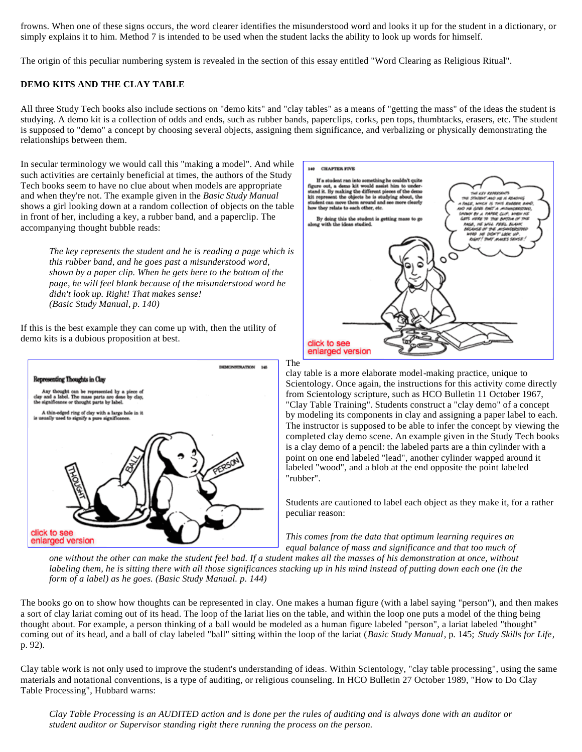frowns. When one of these signs occurs, the word clearer identifies the misunderstood word and looks it up for the student in a dictionary, or simply explains it to him. Method 7 is intended to be used when the student lacks the ability to look up words for himself.

The origin of this peculiar numbering system is revealed in the section of this essay entitled "Word Clearing as Religious Ritual".

# **DEMO KITS AND THE CLAY TABLE**

All three Study Tech books also include sections on "demo kits" and "clay tables" as a means of "getting the mass" of the ideas the student is studying. A demo kit is a collection of odds and ends, such as rubber bands, paperclips, corks, pen tops, thumbtacks, erasers, etc. The student is supposed to "demo" a concept by choosing several objects, assigning them significance, and verbalizing or physically demonstrating the relationships between them.

In secular terminology we would call this "making a model". And while such activities are certainly beneficial at times, the authors of the Study Tech books seem to have no clue about when models are appropriate and when they're not. The example given in the *Basic Study Manual* shows a girl looking down at a random collection of objects on the table in front of her, including a key, a rubber band, and a paperclip. The accompanying thought bubble reads:

> *The key represents the student and he is reading a page which is this rubber band, and he goes past a misunderstood word, shown by a paper clip. When he gets here to the bottom of the page, he will feel blank because of the misunderstood word he didn't look up. Right! That makes sense! (Basic Study Manual, p. 140)*

If this is the best example they can come up with, then the utility of demo kits is a dubious proposition at best.



| If a student ran into something he couldn't quite<br>figure out, a demo kit would assist him to under-   |                                                                       |
|----------------------------------------------------------------------------------------------------------|-----------------------------------------------------------------------|
| stand it. By making the different pieces of the demo-                                                    | THE VEY REMEDIANTS                                                    |
| kit represent the objects he is studying about, the<br>student can move them around and see more clearly | THE STADINT AND NE IS READING<br>A RAGE, WHICH IS THIS RUBBER BAND.   |
| how they relate to each other, etc.                                                                      | AND HE GIVES RAST A MISMINICATIONS.<br>SHOWN BY A PAPER CLIP, WHEN HE |
| By doing this the student is getting mass to go<br>along with the ideas studied.                         | GETS HEIRE TO THE BATTOM OF THE<br><b>RASE, HE WILL FEEL BLANK</b>    |
|                                                                                                          | <b>MCAINE OF THE MISINGSPERSON</b><br>WORD AND DIDN'T LOOK UP.        |
|                                                                                                          | <b>BIGHT! THAT MAKES SENSE!</b>                                       |
|                                                                                                          |                                                                       |
|                                                                                                          |                                                                       |
|                                                                                                          |                                                                       |
|                                                                                                          |                                                                       |
|                                                                                                          |                                                                       |
|                                                                                                          |                                                                       |
|                                                                                                          |                                                                       |
|                                                                                                          |                                                                       |
|                                                                                                          |                                                                       |
|                                                                                                          |                                                                       |
| click to see<br>enlarged version                                                                         |                                                                       |



clay table is a more elaborate model-making practice, unique to Scientology. Once again, the instructions for this activity come directly from Scientology scripture, such as HCO Bulletin 11 October 1967, "Clay Table Training". Students construct a "clay demo" of a concept by modeling its components in clay and assigning a paper label to each. The instructor is supposed to be able to infer the concept by viewing the completed clay demo scene. An example given in the Study Tech books is a clay demo of a pencil: the labeled parts are a thin cylinder with a point on one end labeled "lead", another cylinder wapped around it labeled "wood", and a blob at the end opposite the point labeled "rubber".

Students are cautioned to label each object as they make it, for a rather peculiar reason:

*This comes from the data that optimum learning requires an equal balance of mass and significance and that too much of* 

*one without the other can make the student feel bad. If a student makes all the masses of his demonstration at once, without*  labeling them, he is sitting there with all those significances stacking up in his mind instead of putting down each one (in the *form of a label) as he goes. (Basic Study Manual. p. 144)* 

The books go on to show how thoughts can be represented in clay. One makes a human figure (with a label saying "person"), and then makes a sort of clay lariat coming out of its head. The loop of the lariat lies on the table, and within the loop one puts a model of the thing being thought about. For example, a person thinking of a ball would be modeled as a human figure labeled "person", a lariat labeled "thought" coming out of its head, and a ball of clay labeled "ball" sitting within the loop of the lariat (*Basic Study Manual*, p. 145; *Study Skills for Life*, p. 92).

Clay table work is not only used to improve the student's understanding of ideas. Within Scientology, "clay table processing", using the same materials and notational conventions, is a type of auditing, or religious counseling. In HCO Bulletin 27 October 1989, "How to Do Clay Table Processing", Hubbard warns:

*Clay Table Processing is an AUDITED action and is done per the rules of auditing and is always done with an auditor or student auditor or Supervisor standing right there running the process on the person.*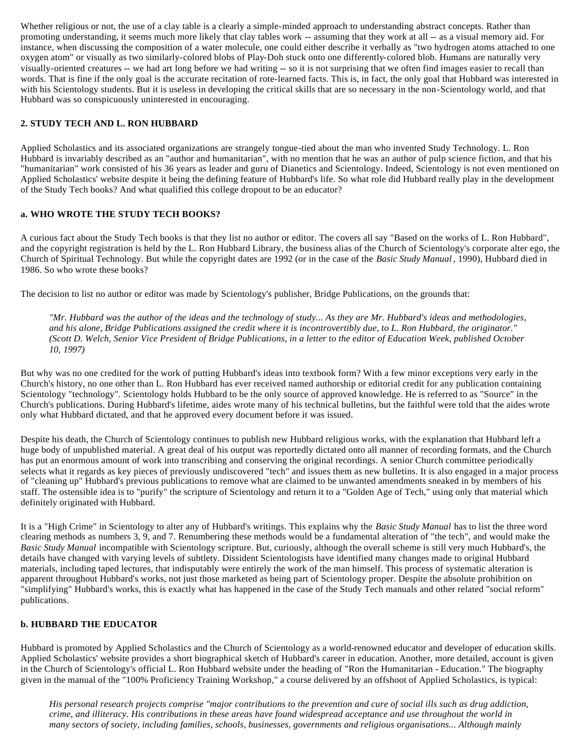Whether religious or not, the use of a clay table is a clearly a simple-minded approach to understanding abstract concepts. Rather than promoting understanding, it seems much more likely that clay tables work -- assuming that they work at all -- as a visual memory aid. For instance, when discussing the composition of a water molecule, one could either describe it verbally as "two hydrogen atoms attached to one oxygen atom" or visually as two similarly-colored blobs of Play-Doh stuck onto one differently-colored blob. Humans are naturally very visually-oriented creatures -- we had art long before we had writing -- so it is not surprising that we often find images easier to recall than words. That is fine if the only goal is the accurate recitation of rote-learned facts. This is, in fact, the only goal that Hubbard was interested in with his Scientology students. But it is useless in developing the critical skills that are so necessary in the non-Scientology world, and that Hubbard was so conspicuously uninterested in encouraging.

## **2. STUDY TECH AND L. RON HUBBARD**

Applied Scholastics and its associated organizations are strangely tongue-tied about the man who invented Study Technology. L. Ron Hubbard is invariably described as an "author and humanitarian", with no mention that he was an author of pulp science fiction, and that his "humanitarian" work consisted of his 36 years as leader and guru of Dianetics and Scientology. Indeed, Scientology is not even mentioned on Applied Scholastics' website despite it being the defining feature of Hubbard's life. So what role did Hubbard really play in the development of the Study Tech books? And what qualified this college dropout to be an educator?

# **a. WHO WROTE THE STUDY TECH BOOKS?**

A curious fact about the Study Tech books is that they list no author or editor. The covers all say "Based on the works of L. Ron Hubbard", and the copyright registration is held by the L. Ron Hubbard Library, the business alias of the Church of Scientology's corporate alter ego, the Church of Spiritual Technology. But while the copyright dates are 1992 (or in the case of the *Basic Study Manual* , 1990), Hubbard died in 1986. So who wrote these books?

The decision to list no author or editor was made by Scientology's publisher, Bridge Publications, on the grounds that:

*"Mr. Hubbard was the author of the ideas and the technology of study... As they are Mr. Hubbard's ideas and methodologies, and his alone, Bridge Publications assigned the credit where it is incontrovertibly due, to L. Ron Hubbard, the originator." (Scott D. Welch, Senior Vice President of Bridge Publications, in a letter to the editor of Education Week, published October 10, 1997)*

But why was no one credited for the work of putting Hubbard's ideas into textbook form? With a few minor exceptions very early in the Church's history, no one other than L. Ron Hubbard has ever received named authorship or editorial credit for any publication containing Scientology "technology". Scientology holds Hubbard to be the only source of approved knowledge. He is referred to as "Source" in the Church's publications. During Hubbard's lifetime, aides wrote many of his technical bulletins, but the faithful were told that the aides wrote only what Hubbard dictated, and that he approved every document before it was issued.

Despite his death, the Church of Scientology continues to publish new Hubbard religious works, with the explanation that Hubbard left a huge body of unpublished material. A great deal of his output was reportedly dictated onto all manner of recording formats, and the Church has put an enormous amount of work into transcribing and conserving the original recordings. A senior Church committee periodically selects what it regards as key pieces of previously undiscovered "tech" and issues them as new bulletins. It is also engaged in a major process of "cleaning up" Hubbard's previous publications to remove what are claimed to be unwanted amendments sneaked in by members of his staff. The ostensible idea is to "purify" the scripture of Scientology and return it to a "Golden Age of Tech," using only that material which definitely originated with Hubbard.

It is a "High Crime" in Scientology to alter any of Hubbard's writings. This explains why the *Basic Study Manual* has to list the three word clearing methods as numbers 3, 9, and 7. Renumbering these methods would be a fundamental alteration of "the tech", and would make the *Basic Study Manual* incompatible with Scientology scripture. But, curiously, although the overall scheme is still very much Hubbard's, the details have changed with varying levels of subtlety. Dissident Scientologists have identified many changes made to original Hubbard materials, including taped lectures, that indisputably were entirely the work of the man himself. This process of systematic alteration is apparent throughout Hubbard's works, not just those marketed as being part of Scientology proper. Despite the absolute prohibition on "simplifying" Hubbard's works, this is exactly what has happened in the case of the Study Tech manuals and other related "social reform" publications.

#### **b. HUBBARD THE EDUCATOR**

Hubbard is promoted by Applied Scholastics and the Church of Scientology as a world-renowned educator and developer of education skills. Applied Scholastics' website provides a short biographical sketch of Hubbard's career in education. Another, more detailed, account is given in the Church of Scientology's official L. Ron Hubbard website under the heading of "Ron the Humanitarian - Education." The biography given in the manual of the "100% Proficiency Training Workshop," a course delivered by an offshoot of Applied Scholastics, is typical:

*His personal research projects comprise "major contributions to the prevention and cure of social ills such as drug addiction, crime, and illiteracy. His contributions in these areas have found widespread acceptance and use throughout the world in many sectors of society, including families, schools, businesses, governments and religious organisations... Although mainly*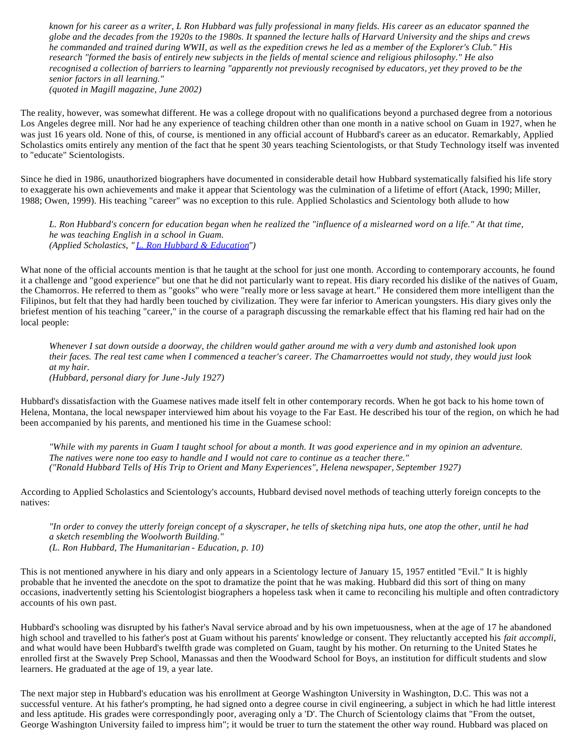*known for his career as a writer, L Ron Hubbard was fully professional in many fields. His career as an educator spanned the globe and the decades from the 1920s to the 1980s. It spanned the lecture halls of Harvard University and the ships and crews he commanded and trained during WWII, as well as the expedition crews he led as a member of the Explorer's Club." His research "formed the basis of entirely new subjects in the fields of mental science and religious philosophy." He also recognised a collection of barriers to learning "apparently not previously recognised by educators, yet they proved to be the senior factors in all learning." (quoted in Magill magazine, June 2002)*

The reality, however, was somewhat different. He was a college dropout with no qualifications beyond a purchased degree from a notorious Los Angeles degree mill. Nor had he any experience of teaching children other than one month in a native school on Guam in 1927, when he was just 16 years old. None of this, of course, is mentioned in any official account of Hubbard's career as an educator. Remarkably, Applied Scholastics omits entirely any mention of the fact that he spent 30 years teaching Scientologists, or that Study Technology itself was invented to "educate" Scientologists.

Since he died in 1986, unauthorized biographers have documented in considerable detail how Hubbard systematically falsified his life story to exaggerate his own achievements and make it appear that Scientology was the culmination of a lifetime of effort (Atack, 1990; Miller, 1988; Owen, 1999). His teaching "career" was no exception to this rule. Applied Scholastics and Scientology both allude to how

L. Ron Hubbard's concern for education began when he realized the "influence of a mislearned word on a life." At that time, *he was teaching English in a school in Guam. (Applied Scholastics, " L. Ron Hubbard & Education")* 

What none of the official accounts mention is that he taught at the school for just one month. According to contemporary accounts, he found it a challenge and "good experience" but one that he did not particularly want to repeat. His diary recorded his dislike of the natives of Guam, the Chamorros. He referred to them as "gooks" who were "really more or less savage at heart." He considered them more intelligent than the Filipinos, but felt that they had hardly been touched by civilization. They were far inferior to American youngsters. His diary gives only the briefest mention of his teaching "career," in the course of a paragraph discussing the remarkable effect that his flaming red hair had on the local people:

*Whenever I sat down outside a doorway, the children would gather around me with a very dumb and astonished look upon their faces. The real test came when I commenced a teacher's career. The Chamarroettes would not study, they would just look at my hair. (Hubbard, personal diary for June -July 1927)*

Hubbard's dissatisfaction with the Guamese natives made itself felt in other contemporary records. When he got back to his home town of Helena, Montana, the local newspaper interviewed him about his voyage to the Far East. He described his tour of the region, on which he had been accompanied by his parents, and mentioned his time in the Guamese school:

*"While with my parents in Guam I taught school for about a month. It was good experience and in my opinion an adventure. The natives were none too easy to handle and I would not care to continue as a teacher there." ("Ronald Hubbard Tells of His Trip to Orient and Many Experiences", Helena newspaper, September 1927)*

According to Applied Scholastics and Scientology's accounts, Hubbard devised novel methods of teaching utterly foreign concepts to the natives:

*"In order to convey the utterly foreign concept of a skyscraper, he tells of sketching nipa huts, one atop the other, until he had a sketch resembling the Woolworth Building." (L. Ron Hubbard, The Humanitarian - Education, p. 10)*

This is not mentioned anywhere in his diary and only appears in a Scientology lecture of January 15, 1957 entitled "Evil." It is highly probable that he invented the anecdote on the spot to dramatize the point that he was making. Hubbard did this sort of thing on many occasions, inadvertently setting his Scientologist biographers a hopeless task when it came to reconciling his multiple and often contradictory accounts of his own past.

Hubbard's schooling was disrupted by his father's Naval service abroad and by his own impetuousness, when at the age of 17 he abandoned high school and travelled to his father's post at Guam without his parents' knowledge or consent. They reluctantly accepted his *fait accompli*, and what would have been Hubbard's twelfth grade was completed on Guam, taught by his mother. On returning to the United States he enrolled first at the Swavely Prep School, Manassas and then the Woodward School for Boys, an institution for difficult students and slow learners. He graduated at the age of 19, a year late.

The next major step in Hubbard's education was his enrollment at George Washington University in Washington, D.C. This was not a successful venture. At his father's prompting, he had signed onto a degree course in civil engineering, a subject in which he had little interest and less aptitude. His grades were correspondingly poor, averaging only a 'D'. The Church of Scientology claims that "From the outset, George Washington University failed to impress him"; it would be truer to turn the statement the other way round. Hubbard was placed on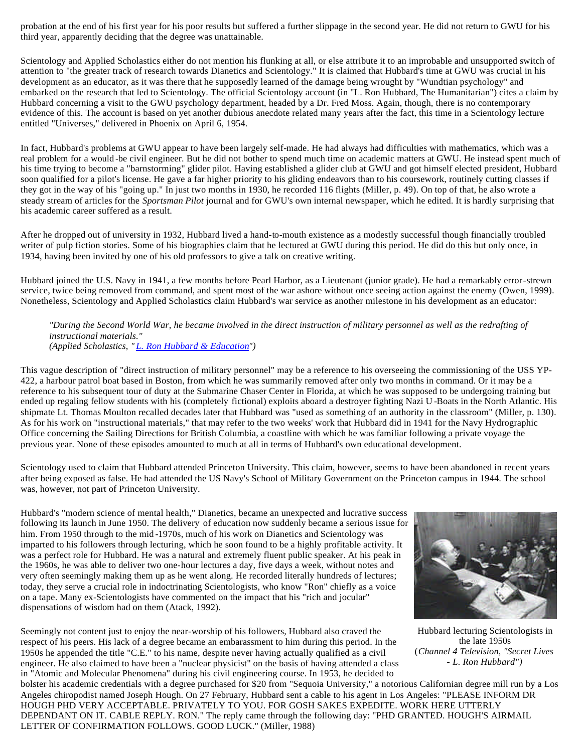probation at the end of his first year for his poor results but suffered a further slippage in the second year. He did not return to GWU for his third year, apparently deciding that the degree was unattainable.

Scientology and Applied Scholastics either do not mention his flunking at all, or else attribute it to an improbable and unsupported switch of attention to "the greater track of research towards Dianetics and Scientology." It is claimed that Hubbard's time at GWU was crucial in his development as an educator, as it was there that he supposedly learned of the damage being wrought by "Wundtian psychology" and embarked on the research that led to Scientology. The official Scientology account (in "L. Ron Hubbard, The Humanitarian") cites a claim by Hubbard concerning a visit to the GWU psychology department, headed by a Dr. Fred Moss. Again, though, there is no contemporary evidence of this. The account is based on yet another dubious anecdote related many years after the fact, this time in a Scientology lecture entitled "Universes," delivered in Phoenix on April 6, 1954.

In fact, Hubbard's problems at GWU appear to have been largely self-made. He had always had difficulties with mathematics, which was a real problem for a would -be civil engineer. But he did not bother to spend much time on academic matters at GWU. He instead spent much of his time trying to become a "barnstorming" glider pilot. Having established a glider club at GWU and got himself elected president, Hubbard soon qualified for a pilot's license. He gave a far higher priority to his gliding endeavors than to his coursework, routinely cutting classes if they got in the way of his "going up." In just two months in 1930, he recorded 116 flights (Miller, p. 49). On top of that, he also wrote a steady stream of articles for the *Sportsman Pilot* journal and for GWU's own internal newspaper, which he edited. It is hardly surprising that his academic career suffered as a result.

After he dropped out of university in 1932, Hubbard lived a hand-to-mouth existence as a modestly successful though financially troubled writer of pulp fiction stories. Some of his biographies claim that he lectured at GWU during this period. He did do this but only once, in 1934, having been invited by one of his old professors to give a talk on creative writing.

Hubbard joined the U.S. Navy in 1941, a few months before Pearl Harbor, as a Lieutenant (junior grade). He had a remarkably error-strewn service, twice being removed from command, and spent most of the war ashore without once seeing action against the enemy (Owen, 1999). Nonetheless, Scientology and Applied Scholastics claim Hubbard's war service as another milestone in his development as an educator:

#### *"During the Second World War, he became involved in the direct instruction of military personnel as well as the redrafting of instructional materials." (Applied Scholastics, " L. Ron Hubbard & Education")*

This vague description of "direct instruction of military personnel" may be a reference to his overseeing the commissioning of the USS YP-422, a harbour patrol boat based in Boston, from which he was summarily removed after only two months in command. Or it may be a reference to his subsequent tour of duty at the Submarine Chaser Center in Florida, at which he was supposed to be undergoing training but ended up regaling fellow students with his (completely fictional) exploits aboard a destroyer fighting Nazi U -Boats in the North Atlantic. His shipmate Lt. Thomas Moulton recalled decades later that Hubbard was "used as something of an authority in the classroom" (Miller, p. 130). As for his work on "instructional materials," that may refer to the two weeks' work that Hubbard did in 1941 for the Navy Hydrographic Office concerning the Sailing Directions for British Columbia, a coastline with which he was familiar following a private voyage the previous year. None of these episodes amounted to much at all in terms of Hubbard's own educational development.

Scientology used to claim that Hubbard attended Princeton University. This claim, however, seems to have been abandoned in recent years after being exposed as false. He had attended the US Navy's School of Military Government on the Princeton campus in 1944. The school was, however, not part of Princeton University.

Hubbard's "modern science of mental health," Dianetics, became an unexpected and lucrative success following its launch in June 1950. The delivery of education now suddenly became a serious issue for him. From 1950 through to the mid-1970s, much of his work on Dianetics and Scientology was imparted to his followers through lecturing, which he soon found to be a highly profitable activity. It was a perfect role for Hubbard. He was a natural and extremely fluent public speaker. At his peak in the 1960s, he was able to deliver two one-hour lectures a day, five days a week, without notes and very often seemingly making them up as he went along. He recorded literally hundreds of lectures; today, they serve a crucial role in indoctrinating Scientologists, who know "Ron" chiefly as a voice on a tape. Many ex-Scientologists have commented on the impact that his "rich and jocular" dispensations of wisdom had on them (Atack, 1992).

Seemingly not content just to enjoy the near-worship of his followers, Hubbard also craved the respect of his peers. His lack of a degree became an embarassment to him during this period. In the 1950s he appended the title "C.E." to his name, despite never having actually qualified as a civil engineer. He also claimed to have been a "nuclear physicist" on the basis of having attended a class in "Atomic and Molecular Phenomena" during his civil engineering course. In 1953, he decided to



Hubbard lecturing Scientologists in the late 1950s (*Channel 4 Television, "Secret Lives - L. Ron Hubbard")*

bolster his academic credentials with a degree purchased for \$20 from "Sequoia University," a notorious Californian degree mill run by a Los Angeles chiropodist named Joseph Hough. On 27 February, Hubbard sent a cable to his agent in Los Angeles: "PLEASE INFORM DR HOUGH PHD VERY ACCEPTABLE. PRIVATELY TO YOU. FOR GOSH SAKES EXPEDITE. WORK HERE UTTERLY DEPENDANT ON IT. CABLE REPLY. RON." The reply came through the following day: "PHD GRANTED. HOUGH'S AIRMAIL LETTER OF CONFIRMATION FOLLOWS. GOOD LUCK." (Miller, 1988)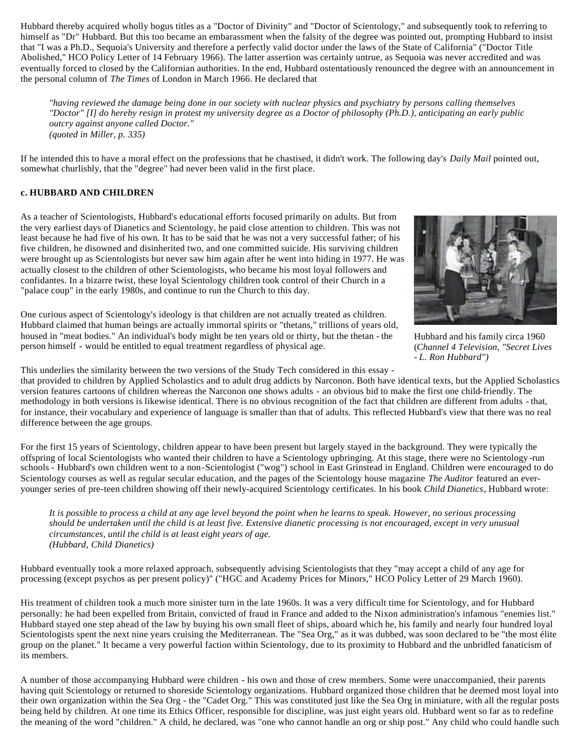Hubbard thereby acquired wholly bogus titles as a "Doctor of Divinity" and "Doctor of Scientology," and subsequently took to referring to himself as "Dr" Hubbard. But this too became an embarassment when the falsity of the degree was pointed out, prompting Hubbard to insist that "I was a Ph.D., Sequoia's University and therefore a perfectly valid doctor under the laws of the State of California" ("Doctor Title Abolished," HCO Policy Letter of 14 February 1966). The latter assertion was certainly untrue, as Sequoia was never accredited and was eventually forced to closed by the Californian authorities. In the end, Hubbard ostentatiously renounced the degree with an announcement in the personal column of *The Times* of London in March 1966. He declared that

*"having reviewed the damage being done in our society with nuclear physics and psychiatry by persons calling themselves "Doctor" [I] do hereby resign in protest my university degree as a Doctor of philosophy (Ph.D.), anticipating an early public outcry against anyone called Doctor." (quoted in Miller, p. 335)* 

If he intended this to have a moral effect on the professions that he chastised, it didn't work. The following day's *Daily Mail* pointed out, somewhat churlishly, that the "degree" had never been valid in the first place.

# **c. HUBBARD AND CHILDREN**

As a teacher of Scientologists, Hubbard's educational efforts focused primarily on adults. But from the very earliest days of Dianetics and Scientology, he paid close attention to children. This was not least because he had five of his own. It has to be said that he was not a very successful father; of his five children, he disowned and disinherited two, and one committed suicide. His surviving children were brought up as Scientologists but never saw him again after he went into hiding in 1977. He was actually closest to the children of other Scientologists, who became his most loyal followers and confidantes. In a bizarre twist, these loyal Scientology children took control of their Church in a "palace coup" in the early 1980s, and continue to run the Church to this day.



Hubbard and his family circa 1960 (*Channel 4 Television, "Secret Lives - L. Ron Hubbard")*

One curious aspect of Scientology's ideology is that children are not actually treated as children. Hubbard claimed that human beings are actually immortal spirits or "thetans," trillions of years old, housed in "meat bodies." An individual's body might be ten years old or thirty, but the thetan - the person himself - would be entitled to equal treatment regardless of physical age.

This underlies the similarity between the two versions of the Study Tech considered in this essay -

that provided to children by Applied Scholastics and to adult drug addicts by Narconon. Both have identical texts, but the Applied Scholastics version features cartoons of children whereas the Narconon one shows adults - an obvious bid to make the first one child-friendly. The methodology in both versions is likewise identical. There is no obvious recognition of the fact that children are different from adults - that, for instance, their vocabulary and experience of language is smaller than that of adults. This reflected Hubbard's view that there was no real difference between the age groups.

For the first 15 years of Scientology, children appear to have been present but largely stayed in the background. They were typically the offspring of local Scientologists who wanted their children to have a Scientology upbringing. At this stage, there were no Scientology -run schools - Hubbard's own children went to a non-Scientologist ("wog") school in East Grinstead in England. Children were encouraged to do Scientology courses as well as regular secular education, and the pages of the Scientology house magazine *The Auditor* featured an everyounger series of pre-teen children showing off their newly-acquired Scientology certificates. In his book *Child Dianetics*, Hubbard wrote:

*It is possible to process a child at any age level beyond the point when he learns to speak. However, no serious processing should be undertaken until the child is at least five. Extensive dianetic processing is not encouraged, except in very unusual circumstances, until the child is at least eight years of age. (Hubbard, Child Dianetics)*

Hubbard eventually took a more relaxed approach, subsequently advising Scientologists that they "may accept a child of any age for processing (except psychos as per present policy)" ("HGC and Academy Prices for Minors," HCO Policy Letter of 29 March 1960).

His treatment of children took a much more sinister turn in the late 1960s. It was a very difficult time for Scientology, and for Hubbard personally: he had been expelled from Britain, convicted of fraud in France and added to the Nixon administration's infamous "enemies list." Hubbard stayed one step ahead of the law by buying his own small fleet of ships, aboard which he, his family and nearly four hundred loyal Scientologists spent the next nine years cruising the Mediterranean. The "Sea Org," as it was dubbed, was soon declared to be "the most élite group on the planet." It became a very powerful faction within Scientology, due to its proximity to Hubbard and the unbridled fanaticism of its members.

A number of those accompanying Hubbard were children - his own and those of crew members. Some were unaccompanied, their parents having quit Scientology or returned to shoreside Scientology organizations. Hubbard organized those children that he deemed most loyal into their own organization within the Sea Org - the "Cadet Org." This was constituted just like the Sea Org in miniature, with all the regular posts being held by children. At one time its Ethics Officer, responsible for discipline, was just eight years old. Hubbard went so far as to redefine the meaning of the word "children." A child, he declared, was "one who cannot handle an org or ship post." Any child who could handle such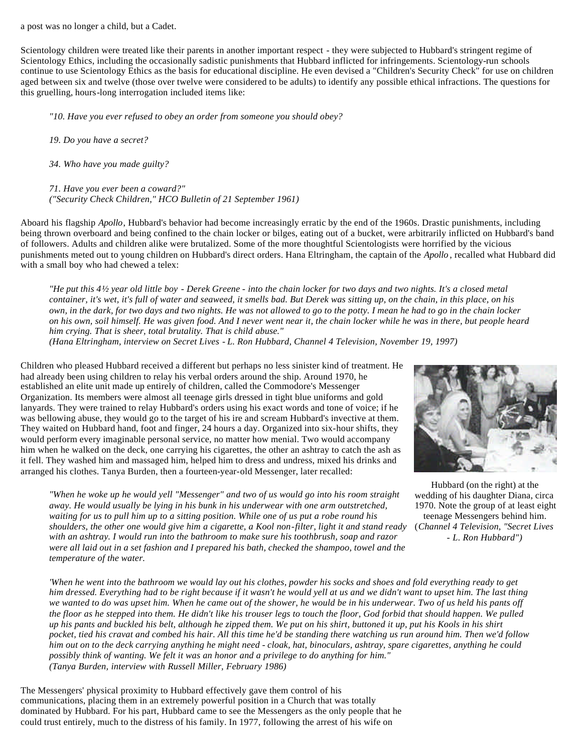a post was no longer a child, but a Cadet.

Scientology children were treated like their parents in another important respect - they were subjected to Hubbard's stringent regime of Scientology Ethics, including the occasionally sadistic punishments that Hubbard inflicted for infringements. Scientology-run schools continue to use Scientology Ethics as the basis for educational discipline. He even devised a "Children's Security Check" for use on children aged between six and twelve (those over twelve were considered to be adults) to identify any possible ethical infractions. The questions for this gruelling, hours-long interrogation included items like:

*"10. Have you ever refused to obey an order from someone you should obey?*

*19. Do you have a secret?*

*34. Who have you made guilty?*

*71. Have you ever been a coward?" ("Security Check Children," HCO Bulletin of 21 September 1961)* 

Aboard his flagship *Apollo*, Hubbard's behavior had become increasingly erratic by the end of the 1960s. Drastic punishments, including being thrown overboard and being confined to the chain locker or bilges, eating out of a bucket, were arbitrarily inflicted on Hubbard's band of followers. Adults and children alike were brutalized. Some of the more thoughtful Scientologists were horrified by the vicious punishments meted out to young children on Hubbard's direct orders. Hana Eltringham, the captain of the *Apollo* , recalled what Hubbard did with a small boy who had chewed a telex:

*"He put this 4½ year old little boy - Derek Greene - into the chain locker for two days and two nights. It's a closed metal container, it's wet, it's full of water and seaweed, it smells bad. But Derek was sitting up, on the chain, in this place, on his own, in the dark, for two days and two nights. He was not allowed to go to the potty. I mean he had to go in the chain locker on his own, soil himself. He was given food. And I never went near it, the chain locker while he was in there, but people heard him crying. That is sheer, total brutality. That is child abuse."*

*(Hana Eltringham, interview on Secret Lives - L. Ron Hubbard, Channel 4 Television, November 19, 1997)*

Children who pleased Hubbard received a different but perhaps no less sinister kind of treatment. He had already been using children to relay his verbal orders around the ship. Around 1970, he established an elite unit made up entirely of children, called the Commodore's Messenger Organization. Its members were almost all teenage girls dressed in tight blue uniforms and gold lanyards. They were trained to relay Hubbard's orders using his exact words and tone of voice; if he was bellowing abuse, they would go to the target of his ire and scream Hubbard's invective at them. They waited on Hubbard hand, foot and finger, 24 hours a day. Organized into six-hour shifts, they would perform every imaginable personal service, no matter how menial. Two would accompany him when he walked on the deck, one carrying his cigarettes, the other an ashtray to catch the ash as it fell. They washed him and massaged him, helped him to dress and undress, mixed his drinks and arranged his clothes. Tanya Burden, then a fourteen-year-old Messenger, later recalled:

*"When he woke up he would yell "Messenger" and two of us would go into his room straight away. He would usually be lying in his bunk in his underwear with one arm outstretched, waiting for us to pull him up to a sitting position. While one of us put a robe round his shoulders, the other one would give him a cigarette, a Kool non-filter, light it and stand ready with an ashtray. I would run into the bathroom to make sure his toothbrush, soap and razor were all laid out in a set fashion and I prepared his bath, checked the shampoo, towel and the temperature of the water.* 

*'When he went into the bathroom we would lay out his clothes, powder his socks and shoes and fold everything ready to get him dressed. Everything had to be right because if it wasn't he would yell at us and we didn't want to upset him. The last thing*  we wanted to do was upset him. When he came out of the shower, he would be in his underwear. Two of us held his pants off *the floor as he stepped into them. He didn't like his trouser legs to touch the floor, God forbid that should happen. We pulled up his pants and buckled his belt, although he zipped them. We put on his shirt, buttoned it up, put his Kools in his shirt pocket, tied his cravat and combed his hair. All this time he'd be standing there watching us run around him. Then we'd follow him out on to the deck carrying anything he might need - cloak, hat, binoculars, ashtray, spare cigarettes, anything he could possibly think of wanting. We felt it was an honor and a privilege to do anything for him." (Tanya Burden, interview with Russell Miller, February 1986)*

The Messengers' physical proximity to Hubbard effectively gave them control of his communications, placing them in an extremely powerful position in a Church that was totally dominated by Hubbard. For his part, Hubbard came to see the Messengers as the only people that he could trust entirely, much to the distress of his family. In 1977, following the arrest of his wife on



Hubbard (on the right) at the wedding of his daughter Diana, circa 1970. Note the group of at least eight teenage Messengers behind him. (*Channel 4 Television, "Secret Lives - L. Ron Hubbard")*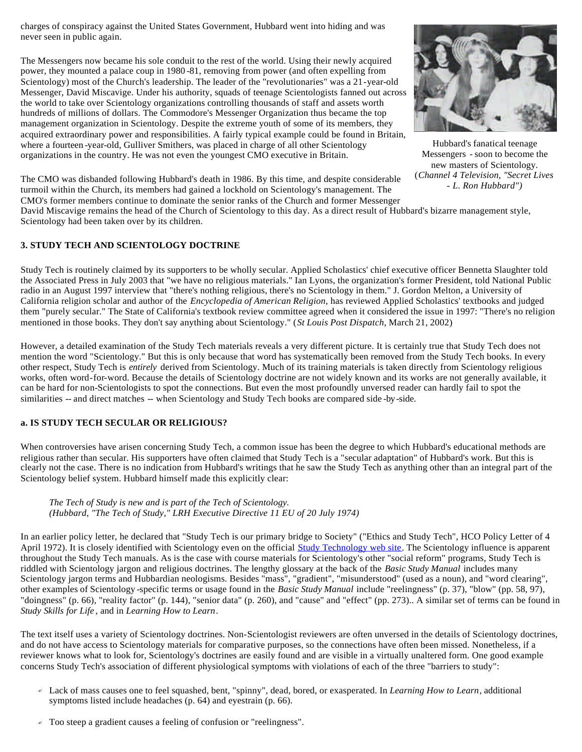charges of conspiracy against the United States Government, Hubbard went into hiding and was never seen in public again.

The Messengers now became his sole conduit to the rest of the world. Using their newly acquired power, they mounted a palace coup in 1980 -81, removing from power (and often expelling from Scientology) most of the Church's leadership. The leader of the "revolutionaries" was a 21-year-old Messenger, David Miscavige. Under his authority, squads of teenage Scientologists fanned out across the world to take over Scientology organizations controlling thousands of staff and assets worth hundreds of millions of dollars. The Commodore's Messenger Organization thus became the top management organization in Scientology. Despite the extreme youth of some of its members, they acquired extraordinary power and responsibilities. A fairly typical example could be found in Britain, where a fourteen -year-old, Gulliver Smithers, was placed in charge of all other Scientology organizations in the country. He was not even the youngest CMO executive in Britain.



Hubbard's fanatical teenage Messengers - soon to become the new masters of Scientology. (*Channel 4 Television, "Secret Lives - L. Ron Hubbard")*

The CMO was disbanded following Hubbard's death in 1986. By this time, and despite considerable turmoil within the Church, its members had gained a lockhold on Scientology's management. The CMO's former members continue to dominate the senior ranks of the Church and former Messenger

David Miscavige remains the head of the Church of Scientology to this day. As a direct result of Hubbard's bizarre management style, Scientology had been taken over by its children.

# **3. STUDY TECH AND SCIENTOLOGY DOCTRINE**

Study Tech is routinely claimed by its supporters to be wholly secular. Applied Scholastics' chief executive officer Bennetta Slaughter told the Associated Press in July 2003 that "we have no religious materials." Ian Lyons, the organization's former President, told National Public radio in an August 1997 interview that "there's nothing religious, there's no Scientology in them." J. Gordon Melton, a University of California religion scholar and author of the *Encyclopedia of American Religion*, has reviewed Applied Scholastics' textbooks and judged them "purely secular." The State of California's textbook review committee agreed when it considered the issue in 1997: "There's no religion mentioned in those books. They don't say anything about Scientology." (*St Louis Post Dispatch*, March 21, 2002)

However, a detailed examination of the Study Tech materials reveals a very different picture. It is certainly true that Study Tech does not mention the word "Scientology." But this is only because that word has systematically been removed from the Study Tech books. In every other respect, Study Tech is *entirely* derived from Scientology. Much of its training materials is taken directly from Scientology religious works, often word-for-word. Because the details of Scientology doctrine are not widely known and its works are not generally available, it can be hard for non-Scientologists to spot the connections. But even the most profoundly unversed reader can hardly fail to spot the similarities -- and direct matches -- when Scientology and Study Tech books are compared side -by-side.

# **a. IS STUDY TECH SECULAR OR RELIGIOUS?**

When controversies have arisen concerning Study Tech, a common issue has been the degree to which Hubbard's educational methods are religious rather than secular. His supporters have often claimed that Study Tech is a "secular adaptation" of Hubbard's work. But this is clearly not the case. There is no indication from Hubbard's writings that he saw the Study Tech as anything other than an integral part of the Scientology belief system. Hubbard himself made this explicitly clear:

### *The Tech of Study is new and is part of the Tech of Scientology. (Hubbard, "The Tech of Study," LRH Executive Directive 11 EU of 20 July 1974)*

In an earlier policy letter, he declared that "Study Tech is our primary bridge to Society" ("Ethics and Study Tech", HCO Policy Letter of 4 April 1972). It is closely identified with Scientology even on the official Study Technology web site. The Scientology influence is apparent throughout the Study Tech manuals. As is the case with course materials for Scientology's other "social reform" programs, Study Tech is riddled with Scientology jargon and religious doctrines. The lengthy glossary at the back of the *Basic Study Manual* includes many Scientology jargon terms and Hubbardian neologisms. Besides "mass", "gradient", "misunderstood" (used as a noun), and "word clearing", other examples of Scientology -specific terms or usage found in the *Basic Study Manual* include "reelingness" (p. 37), "blow" (pp. 58, 97), "doingness" (p. 66), "reality factor" (p. 144), "senior data" (p. 260), and "cause" and "effect" (pp. 273).. A similar set of terms can be found in *Study Skills for Life* , and in *Learning How to Learn*.

The text itself uses a variety of Scientology doctrines. Non-Scientologist reviewers are often unversed in the details of Scientology doctrines, and do not have access to Scientology materials for comparative purposes, so the connections have often been missed. Nonetheless, if a reviewer knows what to look for, Scientology's doctrines are easily found and are visible in a virtually unaltered form. One good example concerns Study Tech's association of different physiological symptoms with violations of each of the three "barriers to study":

- ? Lack of mass causes one to feel squashed, bent, "spinny", dead, bored, or exasperated. In *Learning How to Learn*, additional symptoms listed include headaches (p. 64) and eyestrain (p. 66).
- $\leq$  Too steep a gradient causes a feeling of confusion or "reelingness".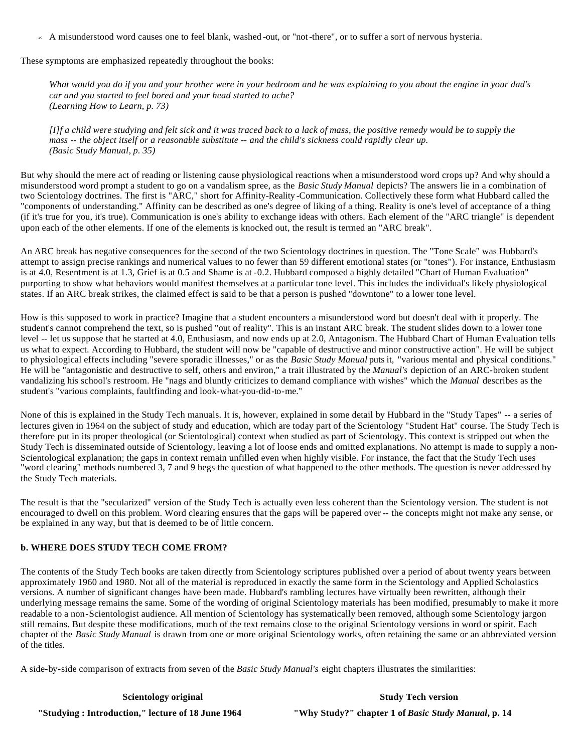$\leq$  A misunderstood word causes one to feel blank, washed -out, or "not-there", or to suffer a sort of nervous hysteria.

These symptoms are emphasized repeatedly throughout the books:

*What would you do if you and your brother were in your bedroom and he was explaining to you about the engine in your dad's car and you started to feel bored and your head started to ache? (Learning How to Learn, p. 73)* 

*[I]f a child were studying and felt sick and it was traced back to a lack of mass, the positive remedy would be to supply the mass -- the object itself or a reasonable substitute -- and the child's sickness could rapidly clear up. (Basic Study Manual, p. 35)* 

But why should the mere act of reading or listening cause physiological reactions when a misunderstood word crops up? And why should a misunderstood word prompt a student to go on a vandalism spree, as the *Basic Study Manual* depicts? The answers lie in a combination of two Scientology doctrines. The first is "ARC," short for Affinity-Reality -Communication. Collectively these form what Hubbard called the "components of understanding." Affinity can be described as one's degree of liking of a thing. Reality is one's level of acceptance of a thing (if it's true for you, it's true). Communication is one's ability to exchange ideas with others. Each element of the "ARC triangle" is dependent upon each of the other elements. If one of the elements is knocked out, the result is termed an "ARC break".

An ARC break has negative consequences for the second of the two Scientology doctrines in question. The "Tone Scale" was Hubbard's attempt to assign precise rankings and numerical values to no fewer than 59 different emotional states (or "tones"). For instance, Enthusiasm is at 4.0, Resentment is at 1.3, Grief is at 0.5 and Shame is at -0.2. Hubbard composed a highly detailed "Chart of Human Evaluation" purporting to show what behaviors would manifest themselves at a particular tone level. This includes the individual's likely physiological states. If an ARC break strikes, the claimed effect is said to be that a person is pushed "downtone" to a lower tone level.

How is this supposed to work in practice? Imagine that a student encounters a misunderstood word but doesn't deal with it properly. The student's cannot comprehend the text, so is pushed "out of reality". This is an instant ARC break. The student slides down to a lower tone level -- let us suppose that he started at 4.0, Enthusiasm, and now ends up at 2.0, Antagonism. The Hubbard Chart of Human Evaluation tells us what to expect. According to Hubbard, the student will now be "capable of destructive and minor constructive action". He will be subject to physiological effects including "severe sporadic illnesses," or as the *Basic Study Manual* puts it, "various mental and physical conditions." He will be "antagonistic and destructive to self, others and environ," a trait illustrated by the *Manual's* depiction of an ARC-broken student vandalizing his school's restroom. He "nags and bluntly criticizes to demand compliance with wishes" which the *Manual* describes as the student's "various complaints, faultfinding and look-what-you-did-to-me."

None of this is explained in the Study Tech manuals. It is, however, explained in some detail by Hubbard in the "Study Tapes" -- a series of lectures given in 1964 on the subject of study and education, which are today part of the Scientology "Student Hat" course. The Study Tech is therefore put in its proper theological (or Scientological) context when studied as part of Scientology. This context is stripped out when the Study Tech is disseminated outside of Scientology, leaving a lot of loose ends and omitted explanations. No attempt is made to supply a non-Scientological explanation; the gaps in context remain unfilled even when highly visible. For instance, the fact that the Study Tech uses "word clearing" methods numbered 3, 7 and 9 begs the question of what happened to the other methods. The question is never addressed by the Study Tech materials.

The result is that the "secularized" version of the Study Tech is actually even less coherent than the Scientology version. The student is not encouraged to dwell on this problem. Word clearing ensures that the gaps will be papered over -- the concepts might not make any sense, or be explained in any way, but that is deemed to be of little concern.

### **b. WHERE DOES STUDY TECH COME FROM?**

The contents of the Study Tech books are taken directly from Scientology scriptures published over a period of about twenty years between approximately 1960 and 1980. Not all of the material is reproduced in exactly the same form in the Scientology and Applied Scholastics versions. A number of significant changes have been made. Hubbard's rambling lectures have virtually been rewritten, although their underlying message remains the same. Some of the wording of original Scientology materials has been modified, presumably to make it more readable to a non-Scientologist audience. All mention of Scientology has systematically been removed, although some Scientology jargon still remains. But despite these modifications, much of the text remains close to the original Scientology versions in word or spirit. Each chapter of the *Basic Study Manual* is drawn from one or more original Scientology works, often retaining the same or an abbreviated version of the titles.

A side-by-side comparison of extracts from seven of the *Basic Study Manual's* eight chapters illustrates the similarities:

**Scientology original Study Tech version "Studying : Introduction," lecture of 18 June 1964 "Why Study?" chapter 1 of** *Basic Study Manual***, p. 14**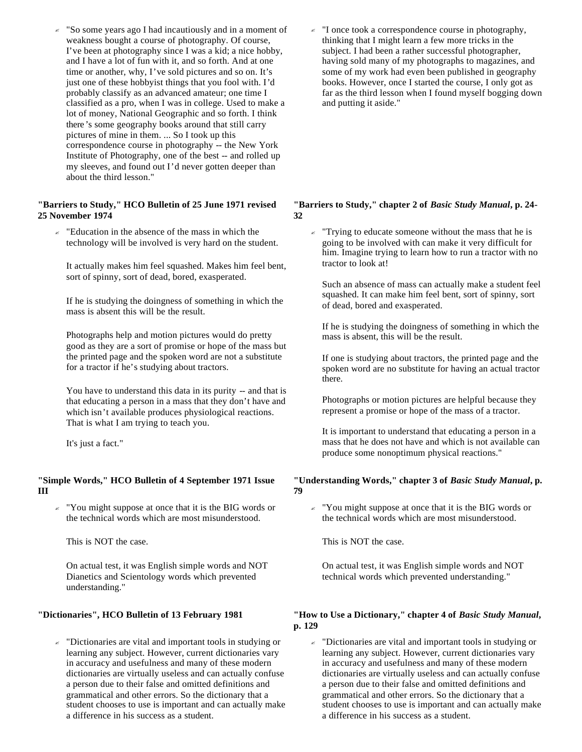$\le$  "So some years ago I had incautiously and in a moment of weakness bought a course of photography. Of course, I've been at photography since I was a kid; a nice hobby, and I have a lot of fun with it, and so forth. And at one time or another, why, I've sold pictures and so on. It's just one of these hobbyist things that you fool with. I'd probably classify as an advanced amateur; one time I classified as a pro, when I was in college. Used to make a lot of money, National Geographic and so forth. I think there 's some geography books around that still carry pictures of mine in them. ... So I took up this correspondence course in photography -- the New York Institute of Photography, one of the best -- and rolled up my sleeves, and found out I'd never gotten deeper than about the third lesson."

## **"Barriers to Study," HCO Bulletin of 25 June 1971 revised 25 November 1974**

 $\leq$  "Education in the absence of the mass in which the technology will be involved is very hard on the student.

It actually makes him feel squashed. Makes him feel bent, sort of spinny, sort of dead, bored, exasperated.

If he is studying the doingness of something in which the mass is absent this will be the result.

Photographs help and motion pictures would do pretty good as they are a sort of promise or hope of the mass but the printed page and the spoken word are not a substitute for a tractor if he's studying about tractors.

You have to understand this data in its purity -- and that is that educating a person in a mass that they don't have and which isn't available produces physiological reactions. That is what I am trying to teach you.

It's just a fact."

#### **"Simple Words," HCO Bulletin of 4 September 1971 Issue III**

 $\le$  "You might suppose at once that it is the BIG words or the technical words which are most misunderstood.

This is NOT the case.

On actual test, it was English simple words and NOT Dianetics and Scientology words which prevented understanding."

 $\leq$  "Dictionaries are vital and important tools in studying or learning any subject. However, current dictionaries vary in accuracy and usefulness and many of these modern dictionaries are virtually useless and can actually confuse a person due to their false and omitted definitions and grammatical and other errors. So the dictionary that a student chooses to use is important and can actually make a difference in his success as a student.

? "I once took a correspondence course in photography, thinking that I might learn a few more tricks in the subject. I had been a rather successful photographer, having sold many of my photographs to magazines, and some of my work had even been published in geography books. However, once I started the course, I only got as far as the third lesson when I found myself bogging down and putting it aside."

#### **"Barriers to Study," chapter 2 of** *Basic Study Manual***, p. 24- 32**

 $\le$  "Trying to educate someone without the mass that he is going to be involved with can make it very difficult for him. Imagine trying to learn how to run a tractor with no tractor to look at!

Such an absence of mass can actually make a student feel squashed. It can make him feel bent, sort of spinny, sort of dead, bored and exasperated.

If he is studying the doingness of something in which the mass is absent, this will be the result.

If one is studying about tractors, the printed page and the spoken word are no substitute for having an actual tractor there.

Photographs or motion pictures are helpful because they represent a promise or hope of the mass of a tractor.

It is important to understand that educating a person in a mass that he does not have and which is not available can produce some nonoptimum physical reactions."

# **"Understanding Words," chapter 3 of** *Basic Study Manual***, p. 79**

 $\le$  "You might suppose at once that it is the BIG words or the technical words which are most misunderstood.

This is NOT the case.

On actual test, it was English simple words and NOT technical words which prevented understanding."

#### **"Dictionaries", HCO Bulletin of 13 February 1981 "How to Use a Dictionary," chapter 4 of** *Basic Study Manual***, p. 129**

 $\epsilon$  "Dictionaries are vital and important tools in studying or learning any subject. However, current dictionaries vary in accuracy and usefulness and many of these modern dictionaries are virtually useless and can actually confuse a person due to their false and omitted definitions and grammatical and other errors. So the dictionary that a student chooses to use is important and can actually make a difference in his success as a student.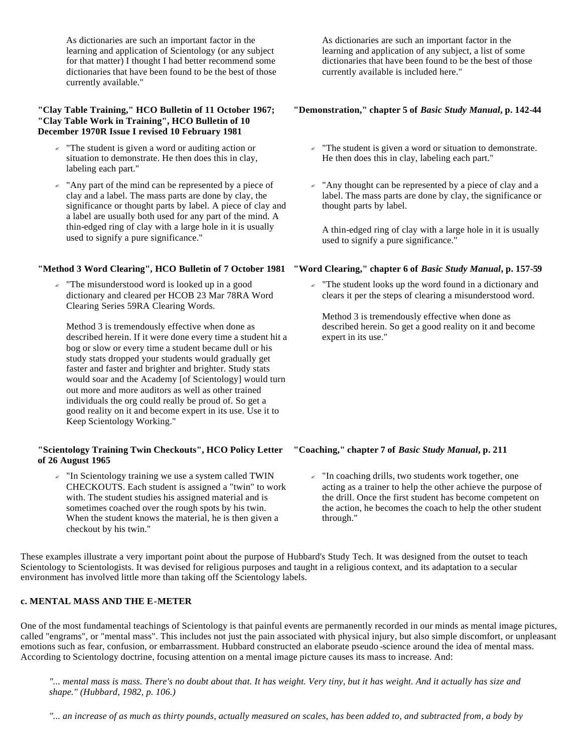As dictionaries are such an important factor in the learning and application of Scientology (or any subject for that matter) I thought I had better recommend some dictionaries that have been found to be the best of those currently available."

#### **"Clay Table Training," HCO Bulletin of 11 October 1967; "Clay Table Work in Training", HCO Bulletin of 10 December 1970R Issue I revised 10 February 1981**

- $\leq$  "The student is given a word or auditing action or situation to demonstrate. He then does this in clay, labeling each part."
- $\le$  "Any part of the mind can be represented by a piece of clay and a label. The mass parts are done by clay, the significance or thought parts by label. A piece of clay and a label are usually both used for any part of the mind. A thin-edged ring of clay with a large hole in it is usually used to signify a pure significance."

 $\le$  "The misunderstood word is looked up in a good dictionary and cleared per HCOB 23 Mar 78RA Word Clearing Series 59RA Clearing Words.

Method 3 is tremendously effective when done as described herein. If it were done every time a student hit a bog or slow or every time a student became dull or his study stats dropped your students would gradually get faster and faster and brighter and brighter. Study stats would soar and the Academy [of Scientology] would turn out more and more auditors as well as other trained individuals the org could really be proud of. So get a good reality on it and become expert in its use. Use it to Keep Scientology Working."

### **"Scientology Training Twin Checkouts", HCO Policy Letter of 26 August 1965**

 $\leq$  "In Scientology training we use a system called TWIN CHECKOUTS. Each student is assigned a "twin" to work with. The student studies his assigned material and is sometimes coached over the rough spots by his twin. When the student knows the material, he is then given a checkout by his twin."

As dictionaries are such an important factor in the learning and application of any subject, a list of some dictionaries that have been found to be the best of those currently available is included here."

### **"Demonstration," chapter 5 of** *Basic Study Manual***, p. 142-44**

- $\leq$  "The student is given a word or situation to demonstrate. He then does this in clay, labeling each part."
- $\approx$  "Any thought can be represented by a piece of clay and a label. The mass parts are done by clay, the significance or thought parts by label.

A thin-edged ring of clay with a large hole in it is usually used to signify a pure significance."

### **"Method 3 Word Clearing", HCO Bulletin of 7 October 1981 "Word Clearing," chapter 6 of** *Basic Study Manual***, p. 157-59**

 $\le$  "The student looks up the word found in a dictionary and clears it per the steps of clearing a misunderstood word.

Method 3 is tremendously effective when done as described herein. So get a good reality on it and become expert in its use."

#### **"Coaching," chapter 7 of** *Basic Study Manual***, p. 211**

 $\leq$  "In coaching drills, two students work together, one acting as a trainer to help the other achieve the purpose of the drill. Once the first student has become competent on the action, he becomes the coach to help the other student through."

These examples illustrate a very important point about the purpose of Hubbard's Study Tech. It was designed from the outset to teach Scientology to Scientologists. It was devised for religious purposes and taught in a religious context, and its adaptation to a secular environment has involved little more than taking off the Scientology labels.

# **c. MENTAL MASS AND THE E-METER**

One of the most fundamental teachings of Scientology is that painful events are permanently recorded in our minds as mental image pictures, called "engrams", or "mental mass". This includes not just the pain associated with physical injury, but also simple discomfort, or unpleasant emotions such as fear, confusion, or embarrassment. Hubbard constructed an elaborate pseudo -science around the idea of mental mass. According to Scientology doctrine, focusing attention on a mental image picture causes its mass to increase. And:

*"... mental mass is mass. There's no doubt about that. It has weight. Very tiny, but it has weight. And it actually has size and shape." (Hubbard, 1982, p. 106.)* 

*"... an increase of as much as thirty pounds, actually measured on scales, has been added to, and subtracted from, a body by*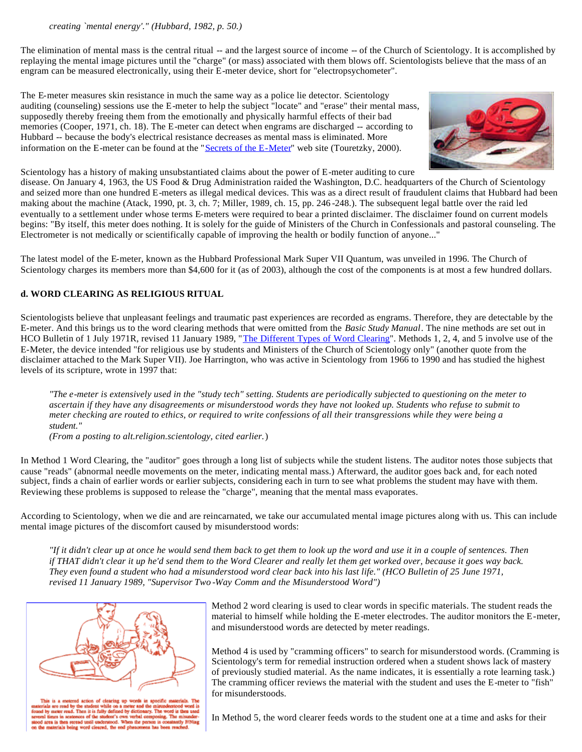*creating `mental energy'." (Hubbard, 1982, p. 50.)* 

The elimination of mental mass is the central ritual -- and the largest source of income -- of the Church of Scientology. It is accomplished by replaying the mental image pictures until the "charge" (or mass) associated with them blows off. Scientologists believe that the mass of an engram can be measured electronically, using their E-meter device, short for "electropsychometer".

The E-meter measures skin resistance in much the same way as a police lie detector. Scientology auditing (counseling) sessions use the E-meter to help the subject "locate" and "erase" their mental mass, supposedly thereby freeing them from the emotionally and physically harmful effects of their bad memories (Cooper, 1971, ch. 18). The E-meter can detect when engrams are discharged -- according to Hubbard -- because the body's electrical resistance decreases as mental mass is eliminated. More information on the E-meter can be found at the "Secrets of the E-Meter" web site (Touretzky, 2000).



Scientology has a history of making unsubstantiated claims about the power of E-meter auditing to cure

disease. On January 4, 1963, the US Food & Drug Administration raided the Washington, D.C. headquarters of the Church of Scientology and seized more than one hundred E-meters as illegal medical devices. This was as a direct result of fraudulent claims that Hubbard had been making about the machine (Atack, 1990, pt. 3, ch. 7; Miller, 1989, ch. 15, pp. 246 -248.). The subsequent legal battle over the raid led eventually to a settlement under whose terms E-meters were required to bear a printed disclaimer. The disclaimer found on current models begins: "By itself, this meter does nothing. It is solely for the guide of Ministers of the Church in Confessionals and pastoral counseling. The Electrometer is not medically or scientifically capable of improving the health or bodily function of anyone..."

The latest model of the E-meter, known as the Hubbard Professional Mark Super VII Quantum, was unveiled in 1996. The Church of Scientology charges its members more than \$4,600 for it (as of 2003), although the cost of the components is at most a few hundred dollars.

# **d. WORD CLEARING AS RELIGIOUS RITUAL**

Scientologists believe that unpleasant feelings and traumatic past experiences are recorded as engrams. Therefore, they are detectable by the E-meter. And this brings us to the word clearing methods that were omitted from the *Basic Study Manual*. The nine methods are set out in HCO Bulletin of 1 July 1971R, revised 11 January 1989, "The Different Types of Word Clearing". Methods 1, 2, 4, and 5 involve use of the E-Meter, the device intended "for religious use by students and Ministers of the Church of Scientology only" (another quote from the disclaimer attached to the Mark Super VII). Joe Harrington, who was active in Scientology from 1966 to 1990 and has studied the highest levels of its scripture, wrote in 1997 that:

*"The e-meter is extensively used in the "study tech" setting. Students are periodically subjected to questioning on the meter to ascertain if they have any disagreements or misunderstood words they have not looked up. Students who refuse to submit to meter checking are routed to ethics, or required to write confessions of all their transgressions while they were being a student."*

*(From a posting to alt.religion.scientology, cited earlier.*)

In Method 1 Word Clearing, the "auditor" goes through a long list of subjects while the student listens. The auditor notes those subjects that cause "reads" (abnormal needle movements on the meter, indicating mental mass.) Afterward, the auditor goes back and, for each noted subject, finds a chain of earlier words or earlier subjects, considering each in turn to see what problems the student may have with them. Reviewing these problems is supposed to release the "charge", meaning that the mental mass evaporates.

According to Scientology, when we die and are reincarnated, we take our accumulated mental image pictures along with us. This can include mental image pictures of the discomfort caused by misunderstood words:

*"If it didn't clear up at once he would send them back to get them to look up the word and use it in a couple of sentences. Then if THAT didn't clear it up he'd send them to the Word Clearer and really let them get worked over, because it goes way back. They even found a student who had a misunderstood word clear back into his last life." (HCO Bulletin of 25 June 1971, revised 11 January 1989, "Supervisor Two -Way Comm and the Misunderstood Word")* 



stered action of clearing up words in specific materials.<br>by the stadent while on a meter and the misrabent ord with the stad, Then it is fully defined by dictionary. The word is then<br>astronous of the student's own world the per ord cleared, the end pl

Method 2 word clearing is used to clear words in specific materials. The student reads the material to himself while holding the E-meter electrodes. The auditor monitors the E-meter, and misunderstood words are detected by meter readings.

Method 4 is used by "cramming officers" to search for misunderstood words. (Cramming is Scientology's term for remedial instruction ordered when a student shows lack of mastery of previously studied material. As the name indicates, it is essentially a rote learning task.) The cramming officer reviews the material with the student and uses the E-meter to "fish" for misunderstoods.

In Method 5, the word clearer feeds words to the student one at a time and asks for their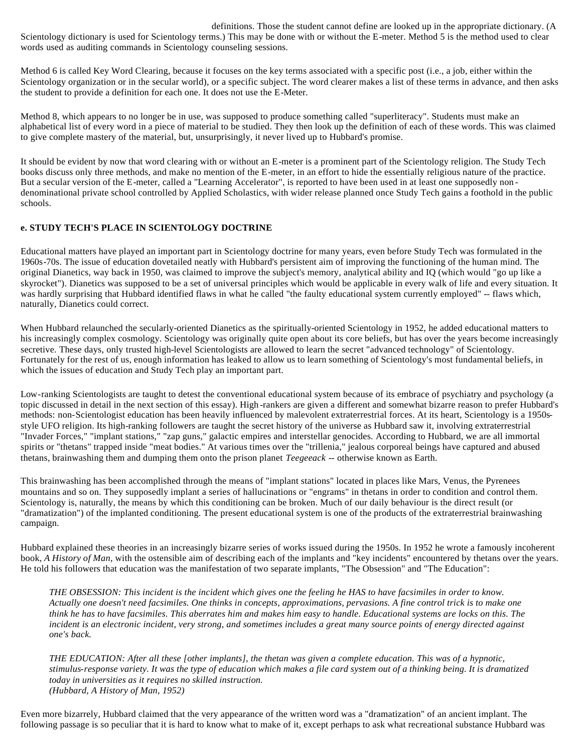definitions. Those the student cannot define are looked up in the appropriate dictionary. (A Scientology dictionary is used for Scientology terms.) This may be done with or without the E-meter. Method 5 is the method used to clear words used as auditing commands in Scientology counseling sessions.

Method 6 is called Key Word Clearing, because it focuses on the key terms associated with a specific post (i.e., a job, either within the Scientology organization or in the secular world), or a specific subject. The word clearer makes a list of these terms in advance, and then asks the student to provide a definition for each one. It does not use the E-Meter.

Method 8, which appears to no longer be in use, was supposed to produce something called "superliteracy". Students must make an alphabetical list of every word in a piece of material to be studied. They then look up the definition of each of these words. This was claimed to give complete mastery of the material, but, unsurprisingly, it never lived up to Hubbard's promise.

It should be evident by now that word clearing with or without an E-meter is a prominent part of the Scientology religion. The Study Tech books discuss only three methods, and make no mention of the E-meter, in an effort to hide the essentially religious nature of the practice. But a secular version of the E-meter, called a "Learning Accelerator", is reported to have been used in at least one supposedly non denominational private school controlled by Applied Scholastics, with wider release planned once Study Tech gains a foothold in the public schools.

# **e. STUDY TECH'S PLACE IN SCIENTOLOGY DOCTRINE**

Educational matters have played an important part in Scientology doctrine for many years, even before Study Tech was formulated in the 1960s-70s. The issue of education dovetailed neatly with Hubbard's persistent aim of improving the functioning of the human mind. The original Dianetics, way back in 1950, was claimed to improve the subject's memory, analytical ability and IQ (which would "go up like a skyrocket"). Dianetics was supposed to be a set of universal principles which would be applicable in every walk of life and every situation. It was hardly surprising that Hubbard identified flaws in what he called "the faulty educational system currently employed" -- flaws which, naturally, Dianetics could correct.

When Hubbard relaunched the secularly-oriented Dianetics as the spiritually-oriented Scientology in 1952, he added educational matters to his increasingly complex cosmology. Scientology was originally quite open about its core beliefs, but has over the years become increasingly secretive. These days, only trusted high-level Scientologists are allowed to learn the secret "advanced technology" of Scientology. Fortunately for the rest of us, enough information has leaked to allow us to learn something of Scientology's most fundamental beliefs, in which the issues of education and Study Tech play an important part.

Low-ranking Scientologists are taught to detest the conventional educational system because of its embrace of psychiatry and psychology (a topic discussed in detail in the next section of this essay). High -rankers are given a different and somewhat bizarre reason to prefer Hubbard's methods: non-Scientologist education has been heavily influenced by malevolent extraterrestrial forces. At its heart, Scientology is a 1950sstyle UFO religion. Its high-ranking followers are taught the secret history of the universe as Hubbard saw it, involving extraterrestrial "Invader Forces," "implant stations," "zap guns," galactic empires and interstellar genocides. According to Hubbard, we are all immortal spirits or "thetans" trapped inside "meat bodies." At various times over the "trillenia," jealous corporeal beings have captured and abused thetans, brainwashing them and dumping them onto the prison planet *Teegeeack* -- otherwise known as Earth.

This brainwashing has been accomplished through the means of "implant stations" located in places like Mars, Venus, the Pyrenees mountains and so on. They supposedly implant a series of hallucinations or "engrams" in thetans in order to condition and control them. Scientology is, naturally, the means by which this conditioning can be broken. Much of our daily behaviour is the direct result (or "dramatization") of the implanted conditioning. The present educational system is one of the products of the extraterrestrial brainwashing campaign.

Hubbard explained these theories in an increasingly bizarre series of works issued during the 1950s. In 1952 he wrote a famously incoherent book, *A History of Man*, with the ostensible aim of describing each of the implants and "key incidents" encountered by thetans over the years. He told his followers that education was the manifestation of two separate implants, "The Obsession" and "The Education":

*THE OBSESSION: This incident is the incident which gives one the feeling he HAS to have facsimiles in order to know. Actually one doesn't need facsimiles. One thinks in concepts, approximations, pervasions. A fine control trick is to make one think he has to have facsimiles. This aberrates him and makes him easy to handle. Educational systems are locks on this. The incident is an electronic incident, very strong, and sometimes includes a great many source points of energy directed against one's back.* 

*THE EDUCATION: After all these [other implants], the thetan was given a complete education. This was of a hypnotic, stimulus-response variety. It was the type of education which makes a file card system out of a thinking being. It is dramatized today in universities as it requires no skilled instruction. (Hubbard, A History of Man, 1952)*

Even more bizarrely, Hubbard claimed that the very appearance of the written word was a "dramatization" of an ancient implant. The following passage is so peculiar that it is hard to know what to make of it, except perhaps to ask what recreational substance Hubbard was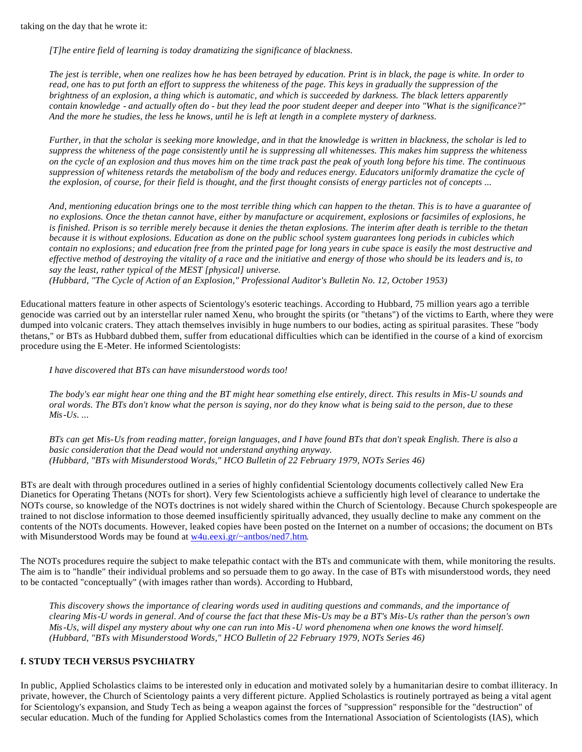*[T]he entire field of learning is today dramatizing the significance of blackness.*

*The jest is terrible, when one realizes how he has been betrayed by education. Print is in black, the page is white. In order to read, one has to put forth an effort to suppress the whiteness of the page. This keys in gradually the suppression of the brightness of an explosion, a thing which is automatic, and which is succeeded by darkness. The black letters apparently contain knowledge - and actually often do - but they lead the poor student deeper and deeper into "What is the significance?" And the more he studies, the less he knows, until he is left at length in a complete mystery of darkness.* 

*Further, in that the scholar is seeking more knowledge, and in that the knowledge is written in blackness, the scholar is led to suppress the whiteness of the page consistently until he is suppressing all whitenesses. This makes him suppress the whiteness on the cycle of an explosion and thus moves him on the time track past the peak of youth long before his time. The continuous suppression of whiteness retards the metabolism of the body and reduces energy. Educators uniformly dramatize the cycle of the explosion, of course, for their field is thought, and the first thought consists of energy particles not of concepts ...*

*And, mentioning education brings one to the most terrible thing which can happen to the thetan. This is to have a guarantee of no explosions. Once the thetan cannot have, either by manufacture or acquirement, explosions or facsimiles of explosions, he is finished. Prison is so terrible merely because it denies the thetan explosions. The interim after death is terrible to the thetan because it is without explosions. Education as done on the public school system guarantees long periods in cubicles which contain no explosions; and education free from the printed page for long years in cube space is easily the most destructive and effective method of destroying the vitality of a race and the initiative and energy of those who should be its leaders and is, to say the least, rather typical of the MEST [physical] universe.*

*(Hubbard, "The Cycle of Action of an Explosion," Professional Auditor's Bulletin No. 12, October 1953)*

Educational matters feature in other aspects of Scientology's esoteric teachings. According to Hubbard, 75 million years ago a terrible genocide was carried out by an interstellar ruler named Xenu, who brought the spirits (or "thetans") of the victims to Earth, where they were dumped into volcanic craters. They attach themselves invisibly in huge numbers to our bodies, acting as spiritual parasites. These "body thetans," or BTs as Hubbard dubbed them, suffer from educational difficulties which can be identified in the course of a kind of exorcism procedure using the E-Meter. He informed Scientologists:

*I have discovered that BTs can have misunderstood words too!* 

*The body's ear might hear one thing and the BT might hear something else entirely, direct. This results in Mis-U sounds and oral words. The BTs don't know what the person is saying, nor do they know what is being said to the person, due to these Mis-Us. ...*

*BTs can get Mis-Us from reading matter, foreign languages, and I have found BTs that don't speak English. There is also a basic consideration that the Dead would not understand anything anyway. (Hubbard, "BTs with Misunderstood Words," HCO Bulletin of 22 February 1979, NOTs Series 46)*

BTs are dealt with through procedures outlined in a series of highly confidential Scientology documents collectively called New Era Dianetics for Operating Thetans (NOTs for short). Very few Scientologists achieve a sufficiently high level of clearance to undertake the NOTs course, so knowledge of the NOTs doctrines is not widely shared within the Church of Scientology. Because Church spokespeople are trained to not disclose information to those deemed insufficiently spiritually advanced, they usually decline to make any comment on the contents of the NOTs documents. However, leaked copies have been posted on the Internet on a number of occasions; the document on BTs with Misunderstood Words may be found at  $w4u.eexi.gr/~antbos/ned7.htm$ .

The NOTs procedures require the subject to make telepathic contact with the BTs and communicate with them, while monitoring the results. The aim is to "handle" their individual problems and so persuade them to go away. In the case of BTs with misunderstood words, they need to be contacted "conceptually" (with images rather than words). According to Hubbard,

*This discovery shows the importance of clearing words used in auditing questions and commands, and the importance of clearing Mis-U words in general. And of course the fact that these Mis-Us may be a BT's Mis-Us rather than the person's own Mis-Us, will dispel any mystery about why one can run into Mis-U word phenomena when one knows the word himself. (Hubbard, "BTs with Misunderstood Words," HCO Bulletin of 22 February 1979, NOTs Series 46)*

### **f. STUDY TECH VERSUS PSYCHIATRY**

In public, Applied Scholastics claims to be interested only in education and motivated solely by a humanitarian desire to combat illiteracy. In private, however, the Church of Scientology paints a very different picture. Applied Scholastics is routinely portrayed as being a vital agent for Scientology's expansion, and Study Tech as being a weapon against the forces of "suppression" responsible for the "destruction" of secular education. Much of the funding for Applied Scholastics comes from the International Association of Scientologists (IAS), which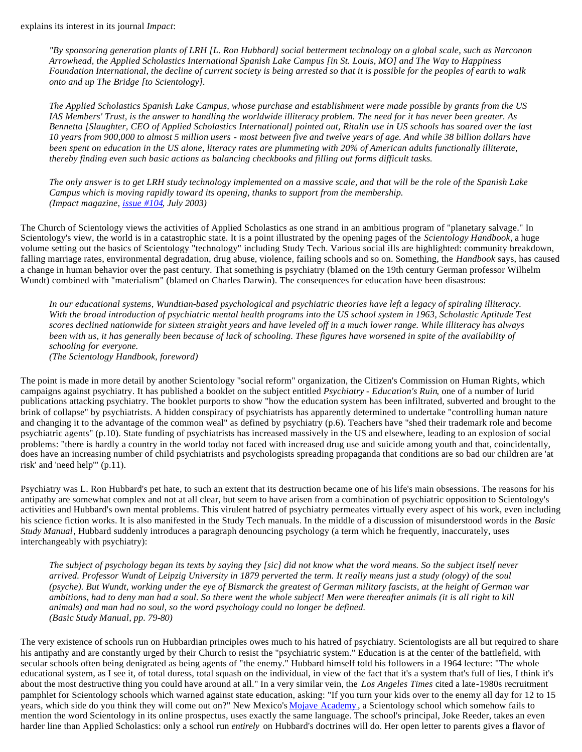explains its interest in its journal *Impact*:

*"By sponsoring generation plants of LRH [L. Ron Hubbard] social betterment technology on a global scale, such as Narconon Arrowhead, the Applied Scholastics International Spanish Lake Campus [in St. Louis, MO] and The Way to Happiness Foundation International, the decline of current society is being arrested so that it is possible for the peoples of earth to walk onto and up The Bridge [to Scientology].*

*The Applied Scholastics Spanish Lake Campus, whose purchase and establishment were made possible by grants from the US IAS Members' Trust, is the answer to handling the worldwide illiteracy problem. The need for it has never been greater. As Bennetta [Slaughter, CEO of Applied Scholastics International] pointed out, Ritalin use in US schools has soared over the last 10 years from 900,000 to almost 5 million users - most between five and twelve years of age. And while 38 billion dollars have been spent on education in the US alone, literacy rates are plummeting with 20% of American adults functionally illiterate, thereby finding even such basic actions as balancing checkbooks and filling out forms difficult tasks.*

*The only answer is to get LRH study technology implemented on a massive scale, and that will be the role of the Spanish Lake Campus which is moving rapidly toward its opening, thanks to support from the membership. (Impact magazine, issue #104, July 2003)*

The Church of Scientology views the activities of Applied Scholastics as one strand in an ambitious program of "planetary salvage." In Scientology's view, the world is in a catastrophic state. It is a point illustrated by the opening pages of the *Scientology Handbook*, a huge volume setting out the basics of Scientology "technology" including Study Tech. Various social ills are highlighted: community breakdown, falling marriage rates, environmental degradation, drug abuse, violence, failing schools and so on. Something, the *Handbook* says, has caused a change in human behavior over the past century. That something is psychiatry (blamed on the 19th century German professor Wilhelm Wundt) combined with "materialism" (blamed on Charles Darwin). The consequences for education have been disastrous:

*In our educational systems, Wundtian-based psychological and psychiatric theories have left a legacy of spiraling illiteracy. With the broad introduction of psychiatric mental health programs into the US school system in 1963, Scholastic Aptitude Test scores declined nationwide for sixteen straight years and have leveled off in a much lower range. While illiteracy has always been with us, it has generally been because of lack of schooling. These figures have worsened in spite of the availability of schooling for everyone.*

*(The Scientology Handbook, foreword)*

The point is made in more detail by another Scientology "social reform" organization, the Citizen's Commission on Human Rights, which campaigns against psychiatry. It has published a booklet on the subject entitled *Psychiatry - Education's Ruin*, one of a number of lurid publications attacking psychiatry. The booklet purports to show "how the education system has been infiltrated, subverted and brought to the brink of collapse" by psychiatrists. A hidden conspiracy of psychiatrists has apparently determined to undertake "controlling human nature and changing it to the advantage of the common weal" as defined by psychiatry (p.6). Teachers have "shed their trademark role and become psychiatric agents" (p.10). State funding of psychiatrists has increased massively in the US and elsewhere, leading to an explosion of social problems: "there is hardly a country in the world today not faced with increased drug use and suicide among youth and that, coincidentally, does have an increasing number of child psychiatrists and psychologists spreading propaganda that conditions are so bad our children are 'at risk' and 'need help'" (p.11).

Psychiatry was L. Ron Hubbard's pet hate, to such an extent that its destruction became one of his life's main obsessions. The reasons for his antipathy are somewhat complex and not at all clear, but seem to have arisen from a combination of psychiatric opposition to Scientology's activities and Hubbard's own mental problems. This virulent hatred of psychiatry permeates virtually every aspect of his work, even including his science fiction works. It is also manifested in the Study Tech manuals. In the middle of a discussion of misunderstood words in the *Basic Study Manual*, Hubbard suddenly introduces a paragraph denouncing psychology (a term which he frequently, inaccurately, uses interchangeably with psychiatry):

*The subject of psychology began its texts by saying they [sic] did not know what the word means. So the subject itself never arrived. Professor Wundt of Leipzig University in 1879 perverted the term. It really means just a study (ology) of the soul (psyche). But Wundt, working under the eye of Bismarck the greatest of German military fascists, at the height of German war ambitions, had to deny man had a soul. So there went the whole subject! Men were thereafter animals (it is all right to kill animals) and man had no soul, so the word psychology could no longer be defined. (Basic Study Manual, pp. 79-80)* 

The very existence of schools run on Hubbardian principles owes much to his hatred of psychiatry. Scientologists are all but required to share his antipathy and are constantly urged by their Church to resist the "psychiatric system." Education is at the center of the battlefield, with secular schools often being denigrated as being agents of "the enemy." Hubbard himself told his followers in a 1964 lecture: "The whole educational system, as I see it, of total duress, total squash on the individual, in view of the fact that it's a system that's full of lies, I think it's about the most destructive thing you could have around at all." In a very similar vein, the *Los Angeles Times* cited a late-1980s recruitment pamphlet for Scientology schools which warned against state education, asking: "If you turn your kids over to the enemy all day for 12 to 15 years, which side do you think they will come out on?" New Mexico's Mojave Academy, a Scientology school which somehow fails to mention the word Scientology in its online prospectus, uses exactly the same language. The school's principal, Joke Reeder, takes an even harder line than Applied Scholastics: only a school run *entirely* on Hubbard's doctrines will do. Her open letter to parents gives a flavor of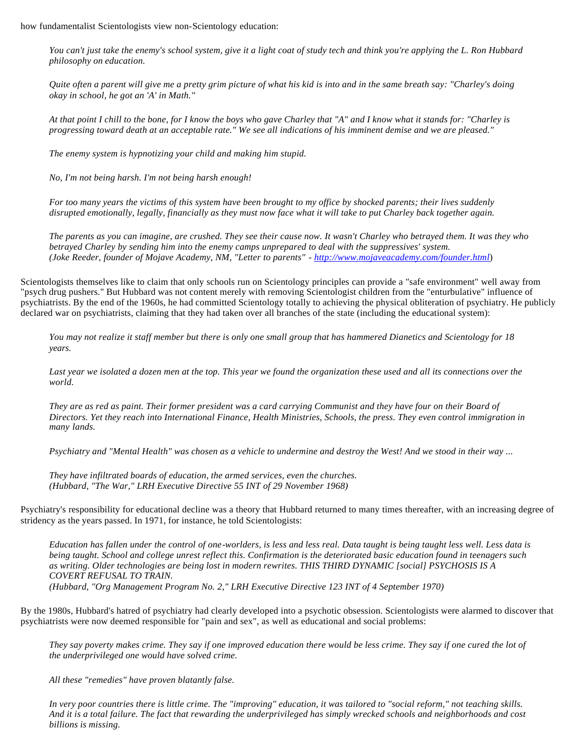how fundamentalist Scientologists view non-Scientology education:

*You can't just take the enemy's school system, give it a light coat of study tech and think you're applying the L. Ron Hubbard philosophy on education.*

*Quite often a parent will give me a pretty grim picture of what his kid is into and in the same breath say: "Charley's doing okay in school, he got an 'A' in Math."*

*At that point I chill to the bone, for I know the boys who gave Charley that "A" and I know what it stands for: "Charley is progressing toward death at an acceptable rate." We see all indications of his imminent demise and we are pleased."*

*The enemy system is hypnotizing your child and making him stupid.*

*No, I'm not being harsh. I'm not being harsh enough!*

*For too many years the victims of this system have been brought to my office by shocked parents; their lives suddenly disrupted emotionally, legally, financially as they must now face what it will take to put Charley back together again.*

*The parents as you can imagine, are crushed. They see their cause now. It wasn't Charley who betrayed them. It was they who betrayed Charley by sending him into the enemy camps unprepared to deal with the suppressives' system. (Joke Reeder, founder of Mojave Academy, NM, "Letter to parents" - http://www.mojaveacademy.com/founder.html*)

Scientologists themselves like to claim that only schools run on Scientology principles can provide a "safe environment" well away from "psych drug pushers." But Hubbard was not content merely with removing Scientologist children from the "enturbulative" influence of psychiatrists. By the end of the 1960s, he had committed Scientology totally to achieving the physical obliteration of psychiatry. He publicly declared war on psychiatrists, claiming that they had taken over all branches of the state (including the educational system):

*You may not realize it staff member but there is only one small group that has hammered Dianetics and Scientology for 18 years.*

*Last year we isolated a dozen men at the top. This year we found the organization these used and all its connections over the world.*

*They are as red as paint. Their former president was a card carrying Communist and they have four on their Board of Directors. Yet they reach into International Finance, Health Ministries, Schools, the press. They even control immigration in many lands.*

*Psychiatry and "Mental Health" was chosen as a vehicle to undermine and destroy the West! And we stood in their way ...*

*They have infiltrated boards of education, the armed services, even the churches. (Hubbard, "The War," LRH Executive Directive 55 INT of 29 November 1968)* 

Psychiatry's responsibility for educational decline was a theory that Hubbard returned to many times thereafter, with an increasing degree of stridency as the years passed. In 1971, for instance, he told Scientologists:

*Education has fallen under the control of one-worlders, is less and less real. Data taught is being taught less well. Less data is being taught. School and college unrest reflect this. Confirmation is the deteriorated basic education found in teenagers such as writing. Older technologies are being lost in modern rewrites. THIS THIRD DYNAMIC [social] PSYCHOSIS IS A COVERT REFUSAL TO TRAIN. (Hubbard, "Org Management Program No. 2," LRH Executive Directive 123 INT of 4 September 1970)*

By the 1980s, Hubbard's hatred of psychiatry had clearly developed into a psychotic obsession. Scientologists were alarmed to discover that psychiatrists were now deemed responsible for "pain and sex", as well as educational and social problems:

*They say poverty makes crime. They say if one improved education there would be less crime. They say if one cured the lot of the underprivileged one would have solved crime.*

*All these "remedies" have proven blatantly false.*

*In very poor countries there is little crime. The "improving" education, it was tailored to "social reform," not teaching skills. And it is a total failure. The fact that rewarding the underprivileged has simply wrecked schools and neighborhoods and cost billions is missing.*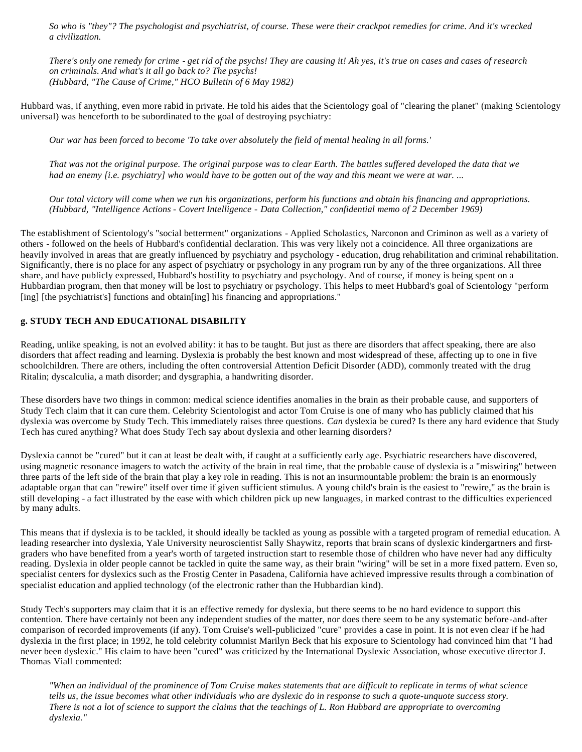*So who is "they"? The psychologist and psychiatrist, of course. These were their crackpot remedies for crime. And it's wrecked a civilization.*

*There's only one remedy for crime - get rid of the psychs! They are causing it! Ah yes, it's true on cases and cases of research on criminals. And what's it all go back to? The psychs! (Hubbard, "The Cause of Crime," HCO Bulletin of 6 May 1982)*

Hubbard was, if anything, even more rabid in private. He told his aides that the Scientology goal of "clearing the planet" (making Scientology universal) was henceforth to be subordinated to the goal of destroying psychiatry:

*Our war has been forced to become 'To take over absolutely the field of mental healing in all forms.'*

*That was not the original purpose. The original purpose was to clear Earth. The battles suffered developed the data that we had an enemy [i.e. psychiatry] who would have to be gotten out of the way and this meant we were at war. ...*

*Our total victory will come when we run his organizations, perform his functions and obtain his financing and appropriations. (Hubbard, "Intelligence Actions - Covert Intelligence - Data Collection," confidential memo of 2 December 1969)*

The establishment of Scientology's "social betterment" organizations - Applied Scholastics, Narconon and Criminon as well as a variety of others - followed on the heels of Hubbard's confidential declaration. This was very likely not a coincidence. All three organizations are heavily involved in areas that are greatly influenced by psychiatry and psychology - education, drug rehabilitation and criminal rehabilitation. Significantly, there is no place for any aspect of psychiatry or psychology in any program run by any of the three organizations. All three share, and have publicly expressed, Hubbard's hostility to psychiatry and psychology. And of course, if money is being spent on a Hubbardian program, then that money will be lost to psychiatry or psychology. This helps to meet Hubbard's goal of Scientology "perform [ing] [the psychiatrist's] functions and obtain[ing] his financing and appropriations."

# **g. STUDY TECH AND EDUCATIONAL DISABILITY**

Reading, unlike speaking, is not an evolved ability: it has to be taught. But just as there are disorders that affect speaking, there are also disorders that affect reading and learning. Dyslexia is probably the best known and most widespread of these, affecting up to one in five schoolchildren. There are others, including the often controversial Attention Deficit Disorder (ADD), commonly treated with the drug Ritalin; dyscalculia, a math disorder; and dysgraphia, a handwriting disorder.

These disorders have two things in common: medical science identifies anomalies in the brain as their probable cause, and supporters of Study Tech claim that it can cure them. Celebrity Scientologist and actor Tom Cruise is one of many who has publicly claimed that his dyslexia was overcome by Study Tech. This immediately raises three questions. *Can* dyslexia be cured? Is there any hard evidence that Study Tech has cured anything? What does Study Tech say about dyslexia and other learning disorders?

Dyslexia cannot be "cured" but it can at least be dealt with, if caught at a sufficiently early age. Psychiatric researchers have discovered, using magnetic resonance imagers to watch the activity of the brain in real time, that the probable cause of dyslexia is a "miswiring" between three parts of the left side of the brain that play a key role in reading. This is not an insurmountable problem: the brain is an enormously adaptable organ that can "rewire" itself over time if given sufficient stimulus. A young child's brain is the easiest to "rewire," as the brain is still developing - a fact illustrated by the ease with which children pick up new languages, in marked contrast to the difficulties experienced by many adults.

This means that if dyslexia is to be tackled, it should ideally be tackled as young as possible with a targeted program of remedial education. A leading researcher into dyslexia, Yale University neuroscientist Sally Shaywitz, reports that brain scans of dyslexic kindergartners and firstgraders who have benefited from a year's worth of targeted instruction start to resemble those of children who have never had any difficulty reading. Dyslexia in older people cannot be tackled in quite the same way, as their brain "wiring" will be set in a more fixed pattern. Even so, specialist centers for dyslexics such as the Frostig Center in Pasadena, California have achieved impressive results through a combination of specialist education and applied technology (of the electronic rather than the Hubbardian kind).

Study Tech's supporters may claim that it is an effective remedy for dyslexia, but there seems to be no hard evidence to support this contention. There have certainly not been any independent studies of the matter, nor does there seem to be any systematic before-and-after comparison of recorded improvements (if any). Tom Cruise's well-publicized "cure" provides a case in point. It is not even clear if he had dyslexia in the first place; in 1992, he told celebrity columnist Marilyn Beck that his exposure to Scientology had convinced him that "I had never been dyslexic." His claim to have been "cured" was criticized by the International Dyslexic Association, whose executive director J. Thomas Viall commented:

*"When an individual of the prominence of Tom Cruise makes statements that are difficult to replicate in terms of what science tells us, the issue becomes what other individuals who are dyslexic do in response to such a quote-unquote success story. There is not a lot of science to support the claims that the teachings of L. Ron Hubbard are appropriate to overcoming dyslexia."*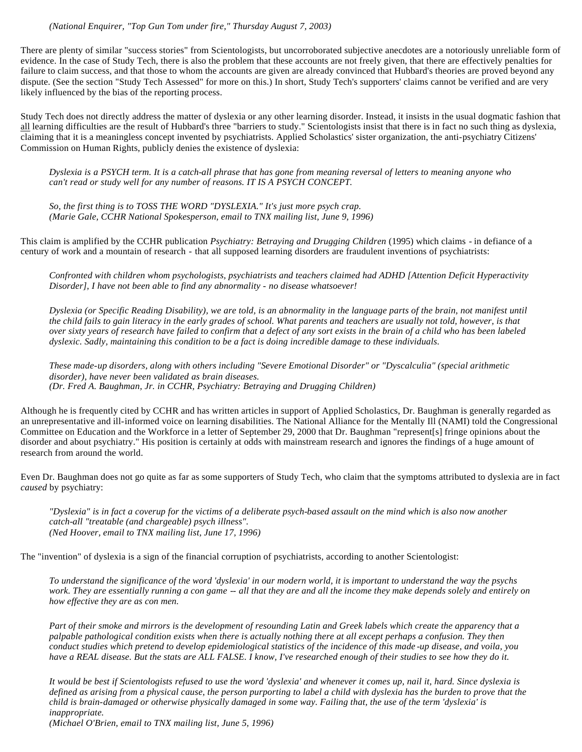There are plenty of similar "success stories" from Scientologists, but uncorroborated subjective anecdotes are a notoriously unreliable form of evidence. In the case of Study Tech, there is also the problem that these accounts are not freely given, that there are effectively penalties for failure to claim success, and that those to whom the accounts are given are already convinced that Hubbard's theories are proved beyond any dispute. (See the section "Study Tech Assessed" for more on this.) In short, Study Tech's supporters' claims cannot be verified and are very likely influenced by the bias of the reporting process.

Study Tech does not directly address the matter of dyslexia or any other learning disorder. Instead, it insists in the usual dogmatic fashion that all learning difficulties are the result of Hubbard's three "barriers to study." Scientologists insist that there is in fact no such thing as dyslexia, claiming that it is a meaningless concept invented by psychiatrists. Applied Scholastics' sister organization, the anti-psychiatry Citizens' Commission on Human Rights, publicly denies the existence of dyslexia:

*Dyslexia is a PSYCH term. It is a catch-all phrase that has gone from meaning reversal of letters to meaning anyone who can't read or study well for any number of reasons. IT IS A PSYCH CONCEPT.* 

*So, the first thing is to TOSS THE WORD "DYSLEXIA." It's just more psych crap. (Marie Gale, CCHR National Spokesperson, email to TNX mailing list, June 9, 1996)*

This claim is amplified by the CCHR publication *Psychiatry: Betraying and Drugging Children* (1995) which claims - in defiance of a century of work and a mountain of research - that all supposed learning disorders are fraudulent inventions of psychiatrists:

*Confronted with children whom psychologists, psychiatrists and teachers claimed had ADHD [Attention Deficit Hyperactivity Disorder], I have not been able to find any abnormality - no disease whatsoever!*

*Dyslexia (or Specific Reading Disability), we are told, is an abnormality in the language parts of the brain, not manifest until the child fails to gain literacy in the early grades of school. What parents and teachers are usually not told, however, is that over sixty years of research have failed to confirm that a defect of any sort exists in the brain of a child who has been labeled dyslexic. Sadly, maintaining this condition to be a fact is doing incredible damage to these individuals.*

*These made-up disorders, along with others including "Severe Emotional Disorder" or "Dyscalculia" (special arithmetic disorder), have never been validated as brain diseases. (Dr. Fred A. Baughman, Jr. in CCHR, Psychiatry: Betraying and Drugging Children)*

Although he is frequently cited by CCHR and has written articles in support of Applied Scholastics, Dr. Baughman is generally regarded as an unrepresentative and ill-informed voice on learning disabilities. The National Alliance for the Mentally Ill (NAMI) told the Congressional Committee on Education and the Workforce in a letter of September 29, 2000 that Dr. Baughman "represent[s] fringe opinions about the disorder and about psychiatry." His position is certainly at odds with mainstream research and ignores the findings of a huge amount of research from around the world.

Even Dr. Baughman does not go quite as far as some supporters of Study Tech, who claim that the symptoms attributed to dyslexia are in fact *caused* by psychiatry:

*"Dyslexia" is in fact a coverup for the victims of a deliberate psych-based assault on the mind which is also now another catch-all "treatable (and chargeable) psych illness". (Ned Hoover, email to TNX mailing list, June 17, 1996)*

The "invention" of dyslexia is a sign of the financial corruption of psychiatrists, according to another Scientologist:

*To understand the significance of the word 'dyslexia' in our modern world, it is important to understand the way the psychs work. They are essentially running a con game -- all that they are and all the income they make depends solely and entirely on how effective they are as con men.*

*Part of their smoke and mirrors is the development of resounding Latin and Greek labels which create the apparency that a palpable pathological condition exists when there is actually nothing there at all except perhaps a confusion. They then conduct studies which pretend to develop epidemiological statistics of the incidence of this made -up disease, and voila, you have a REAL disease. But the stats are ALL FALSE. I know, I've researched enough of their studies to see how they do it.* 

*It would be best if Scientologists refused to use the word 'dyslexia' and whenever it comes up, nail it, hard. Since dyslexia is defined as arising from a physical cause, the person purporting to label a child with dyslexia has the burden to prove that the child is brain-damaged or otherwise physically damaged in some way. Failing that, the use of the term 'dyslexia' is inappropriate.* 

*(Michael O'Brien, email to TNX mailing list, June 5, 1996)*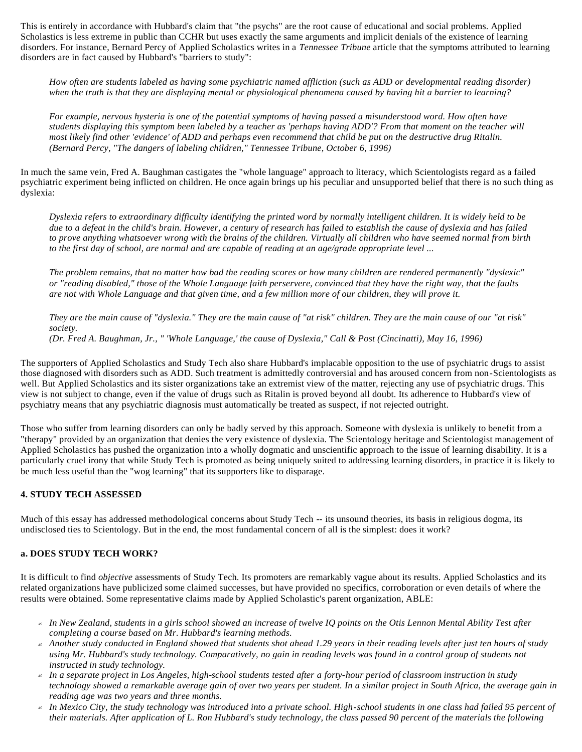This is entirely in accordance with Hubbard's claim that "the psychs" are the root cause of educational and social problems. Applied Scholastics is less extreme in public than CCHR but uses exactly the same arguments and implicit denials of the existence of learning disorders. For instance, Bernard Percy of Applied Scholastics writes in a *Tennessee Tribune* article that the symptoms attributed to learning disorders are in fact caused by Hubbard's "barriers to study":

*How often are students labeled as having some psychiatric named affliction (such as ADD or developmental reading disorder) when the truth is that they are displaying mental or physiological phenomena caused by having hit a barrier to learning?*

*For example, nervous hysteria is one of the potential symptoms of having passed a misunderstood word. How often have students displaying this symptom been labeled by a teacher as 'perhaps having ADD'? From that moment on the teacher will most likely find other 'evidence' of ADD and perhaps even recommend that child be put on the destructive drug Ritalin. (Bernard Percy, "The dangers of labeling children," Tennessee Tribune, October 6, 1996)*

In much the same vein, Fred A. Baughman castigates the "whole language" approach to literacy, which Scientologists regard as a failed psychiatric experiment being inflicted on children. He once again brings up his peculiar and unsupported belief that there is no such thing as dyslexia:

*Dyslexia refers to extraordinary difficulty identifying the printed word by normally intelligent children. It is widely held to be due to a defeat in the child's brain. However, a century of research has failed to establish the cause of dyslexia and has failed to prove anything whatsoever wrong with the brains of the children. Virtually all children who have seemed normal from birth to the first day of school, are normal and are capable of reading at an age/grade appropriate level ...*

*The problem remains, that no matter how bad the reading scores or how many children are rendered permanently "dyslexic" or "reading disabled," those of the Whole Language faith perservere, convinced that they have the right way, that the faults are not with Whole Language and that given time, and a few million more of our children, they will prove it.*

*They are the main cause of "dyslexia." They are the main cause of "at risk" children. They are the main cause of our "at risk" society.*

*(Dr. Fred A. Baughman, Jr., " 'Whole Language,' the cause of Dyslexia," Call & Post (Cincinatti), May 16, 1996)*

The supporters of Applied Scholastics and Study Tech also share Hubbard's implacable opposition to the use of psychiatric drugs to assist those diagnosed with disorders such as ADD. Such treatment is admittedly controversial and has aroused concern from non-Scientologists as well. But Applied Scholastics and its sister organizations take an extremist view of the matter, rejecting any use of psychiatric drugs. This view is not subject to change, even if the value of drugs such as Ritalin is proved beyond all doubt. Its adherence to Hubbard's view of psychiatry means that any psychiatric diagnosis must automatically be treated as suspect, if not rejected outright.

Those who suffer from learning disorders can only be badly served by this approach. Someone with dyslexia is unlikely to benefit from a "therapy" provided by an organization that denies the very existence of dyslexia. The Scientology heritage and Scientologist management of Applied Scholastics has pushed the organization into a wholly dogmatic and unscientific approach to the issue of learning disability. It is a particularly cruel irony that while Study Tech is promoted as being uniquely suited to addressing learning disorders, in practice it is likely to be much less useful than the "wog learning" that its supporters like to disparage.

# **4. STUDY TECH ASSESSED**

Much of this essay has addressed methodological concerns about Study Tech -- its unsound theories, its basis in religious dogma, its undisclosed ties to Scientology. But in the end, the most fundamental concern of all is the simplest: does it work?

# **a. DOES STUDY TECH WORK?**

It is difficult to find *objective* assessments of Study Tech. Its promoters are remarkably vague about its results. Applied Scholastics and its related organizations have publicized some claimed successes, but have provided no specifics, corroboration or even details of where the results were obtained. Some representative claims made by Applied Scholastic's parent organization, ABLE:

- ? *In New Zealand, students in a girls school showed an increase of twelve IQ points on the Otis Lennon Mental Ability Test after completing a course based on Mr. Hubbard's learning methods.*
- ? *Another study conducted in England showed that students shot ahead 1.29 years in their reading levels after just ten hours of study using Mr. Hubbard's study technology. Comparatively, no gain in reading levels was found in a control group of students not instructed in study technology.*
- ? *In a separate project in Los Angeles, high-school students tested after a forty-hour period of classroom instruction in study technology showed a remarkable average gain of over two years per student. In a similar project in South Africa, the average gain in reading age was two years and three months.*
- ? *In Mexico City, the study technology was introduced into a private school. High-school students in one class had failed 95 percent of their materials. After application of L. Ron Hubbard's study technology, the class passed 90 percent of the materials the following*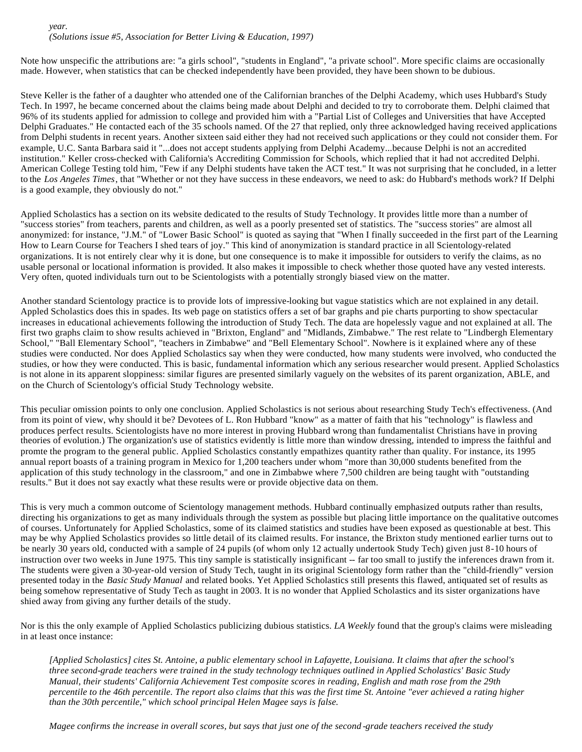#### *year. (Solutions issue #5, Association for Better Living & Education, 1997)*

Note how unspecific the attributions are: "a girls school", "students in England", "a private school". More specific claims are occasionally made. However, when statistics that can be checked independently have been provided, they have been shown to be dubious.

Steve Keller is the father of a daughter who attended one of the Californian branches of the Delphi Academy, which uses Hubbard's Study Tech. In 1997, he became concerned about the claims being made about Delphi and decided to try to corroborate them. Delphi claimed that 96% of its students applied for admission to college and provided him with a "Partial List of Colleges and Universities that have Accepted Delphi Graduates." He contacted each of the 35 schools named. Of the 27 that replied, only three acknowledged having received applications from Delphi students in recent years. Another sixteen said either they had not received such applications or they could not consider them. For example, U.C. Santa Barbara said it "...does not accept students applying from Delphi Academy...because Delphi is not an accredited institution." Keller cross-checked with California's Accrediting Commission for Schools, which replied that it had not accredited Delphi. American College Testing told him, "Few if any Delphi students have taken the ACT test." It was not surprising that he concluded, in a letter to the *Los Angeles Times*, that "Whether or not they have success in these endeavors, we need to ask: do Hubbard's methods work? If Delphi is a good example, they obviously do not."

Applied Scholastics has a section on its website dedicated to the results of Study Technology. It provides little more than a number of "success stories" from teachers, parents and children, as well as a poorly presented set of statistics. The "success stories" are almost all anonymized: for instance, "J.M." of "Lower Basic School" is quoted as saying that "When I finally succeeded in the first part of the Learning How to Learn Course for Teachers I shed tears of joy." This kind of anonymization is standard practice in all Scientology-related organizations. It is not entirely clear why it is done, but one consequence is to make it impossible for outsiders to verify the claims, as no usable personal or locational information is provided. It also makes it impossible to check whether those quoted have any vested interests. Very often, quoted individuals turn out to be Scientologists with a potentially strongly biased view on the matter.

Another standard Scientology practice is to provide lots of impressive-looking but vague statistics which are not explained in any detail. Appled Scholastics does this in spades. Its web page on statistics offers a set of bar graphs and pie charts purporting to show spectacular increases in educational achievements following the introduction of Study Tech. The data are hopelessly vague and not explained at all. The first two graphs claim to show results achieved in "Brixton, England" and "Midlands, Zimbabwe." The rest relate to "Lindbergh Elementary School," "Ball Elementary School", "teachers in Zimbabwe" and "Bell Elementary School". Nowhere is it explained where any of these studies were conducted. Nor does Applied Scholastics say when they were conducted, how many students were involved, who conducted the studies, or how they were conducted. This is basic, fundamental information which any serious researcher would present. Applied Scholastics is not alone in its apparent sloppiness: similar figures are presented similarly vaguely on the websites of its parent organization, ABLE, and on the Church of Scientology's official Study Technology website.

This peculiar omission points to only one conclusion. Applied Scholastics is not serious about researching Study Tech's effectiveness. (And from its point of view, why should it be? Devotees of L. Ron Hubbard "know" as a matter of faith that his "technology" is flawless and produces perfect results. Scientologists have no more interest in proving Hubbard wrong than fundamentalist Christians have in proving theories of evolution.) The organization's use of statistics evidently is little more than window dressing, intended to impress the faithful and promte the program to the general public. Applied Scholastics constantly empathizes quantity rather than quality. For instance, its 1995 annual report boasts of a training program in Mexico for 1,200 teachers under whom "more than 30,000 students benefited from the application of this study technology in the classroom," and one in Zimbabwe where 7,500 children are being taught with "outstanding results." But it does not say exactly what these results were or provide objective data on them.

This is very much a common outcome of Scientology management methods. Hubbard continually emphasized outputs rather than results, directing his organizations to get as many individuals through the system as possible but placing little importance on the qualitative outcomes of courses. Unfortunately for Applied Scholastics, some of its claimed statistics and studies have been exposed as questionable at best. This may be why Applied Scholastics provides so little detail of its claimed results. For instance, the Brixton study mentioned earlier turns out to be nearly 30 years old, conducted with a sample of 24 pupils (of whom only 12 actually undertook Study Tech) given just 8-10 hours of instruction over two weeks in June 1975. This tiny sample is statistically insignificant -- far too small to justify the inferences drawn from it. The students were given a 30-year-old version of Study Tech, taught in its original Scientology form rather than the "child-friendly" version presented today in the *Basic Study Manual* and related books. Yet Applied Scholastics still presents this flawed, antiquated set of results as being somehow representative of Study Tech as taught in 2003. It is no wonder that Applied Scholastics and its sister organizations have shied away from giving any further details of the study.

Nor is this the only example of Applied Scholastics publicizing dubious statistics. *LA Weekly* found that the group's claims were misleading in at least once instance:

*[Applied Scholastics] cites St. Antoine, a public elementary school in Lafayette, Louisiana. It claims that after the school's three second-grade teachers were trained in the study technology techniques outlined in Applied Scholastics' Basic Study Manual, their students' California Achievement Test composite scores in reading, English and math rose from the 29th percentile to the 46th percentile. The report also claims that this was the first time St. Antoine "ever achieved a rating higher than the 30th percentile," which school principal Helen Magee says is false.*

*Magee confirms the increase in overall scores, but says that just one of the second -grade teachers received the study*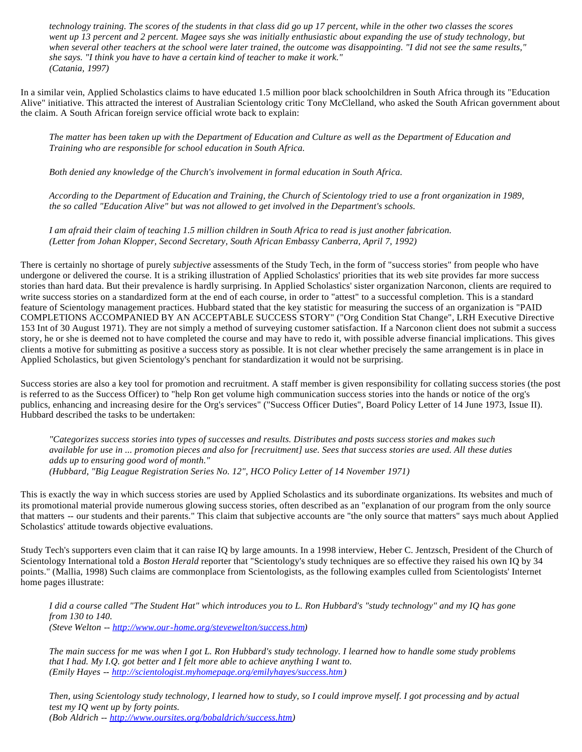*technology training. The scores of the students in that class did go up 17 percent, while in the other two classes the scores went up 13 percent and 2 percent. Magee says she was initially enthusiastic about expanding the use of study technology, but when several other teachers at the school were later trained, the outcome was disappointing. "I did not see the same results," she says. "I think you have to have a certain kind of teacher to make it work." (Catania, 1997)*

In a similar vein, Applied Scholastics claims to have educated 1.5 million poor black schoolchildren in South Africa through its "Education Alive" initiative. This attracted the interest of Australian Scientology critic Tony McClelland, who asked the South African government about the claim. A South African foreign service official wrote back to explain:

*The matter has been taken up with the Department of Education and Culture as well as the Department of Education and Training who are responsible for school education in South Africa.*

*Both denied any knowledge of the Church's involvement in formal education in South Africa.*

*According to the Department of Education and Training, the Church of Scientology tried to use a front organization in 1989, the so called "Education Alive" but was not allowed to get involved in the Department's schools.*

*I am afraid their claim of teaching 1.5 million children in South Africa to read is just another fabrication. (Letter from Johan Klopper, Second Secretary, South African Embassy Canberra, April 7, 1992)*

There is certainly no shortage of purely *subjective* assessments of the Study Tech, in the form of "success stories" from people who have undergone or delivered the course. It is a striking illustration of Applied Scholastics' priorities that its web site provides far more success stories than hard data. But their prevalence is hardly surprising. In Applied Scholastics' sister organization Narconon, clients are required to write success stories on a standardized form at the end of each course, in order to "attest" to a successful completion. This is a standard feature of Scientology management practices. Hubbard stated that the key statistic for measuring the success of an organization is "PAID COMPLETIONS ACCOMPANIED BY AN ACCEPTABLE SUCCESS STORY" ("Org Condition Stat Change", LRH Executive Directive 153 Int of 30 August 1971). They are not simply a method of surveying customer satisfaction. If a Narconon client does not submit a success story, he or she is deemed not to have completed the course and may have to redo it, with possible adverse financial implications. This gives clients a motive for submitting as positive a success story as possible. It is not clear whether precisely the same arrangement is in place in Applied Scholastics, but given Scientology's penchant for standardization it would not be surprising.

Success stories are also a key tool for promotion and recruitment. A staff member is given responsibility for collating success stories (the post is referred to as the Success Officer) to "help Ron get volume high communication success stories into the hands or notice of the org's publics, enhancing and increasing desire for the Org's services" ("Success Officer Duties", Board Policy Letter of 14 June 1973, Issue II). Hubbard described the tasks to be undertaken:

*"Categorizes success stories into types of successes and results. Distributes and posts success stories and makes such available for use in ... promotion pieces and also for [recruitment] use. Sees that success stories are used. All these duties adds up to ensuring good word of month." (Hubbard, "Big League Registration Series No. 12", HCO Policy Letter of 14 November 1971)*

This is exactly the way in which success stories are used by Applied Scholastics and its subordinate organizations. Its websites and much of its promotional material provide numerous glowing success stories, often described as an "explanation of our program from the only source that matters -- our students and their parents." This claim that subjective accounts are "the only source that matters" says much about Applied Scholastics' attitude towards objective evaluations.

Study Tech's supporters even claim that it can raise IQ by large amounts. In a 1998 interview, Heber C. Jentzsch, President of the Church of Scientology International told a *Boston Herald* reporter that "Scientology's study techniques are so effective they raised his own IQ by 34 points." (Mallia, 1998) Such claims are commonplace from Scientologists, as the following examples culled from Scientologists' Internet home pages illustrate:

*I did a course called "The Student Hat" which introduces you to L. Ron Hubbard's "study technology" and my IQ has gone from 130 to 140. (Steve Welton -- http://www.our-home.org/stevewelton/success.htm)*

*The main success for me was when I got L. Ron Hubbard's study technology. I learned how to handle some study problems that I had. My I.Q. got better and I felt more able to achieve anything I want to. (Emily Hayes -- http://scientologist.myhomepage.org/emilyhayes/success.htm)*

*Then, using Scientology study technology, I learned how to study, so I could improve myself. I got processing and by actual test my IQ went up by forty points. (Bob Aldrich -- http://www.oursites.org/bobaldrich/success.htm)*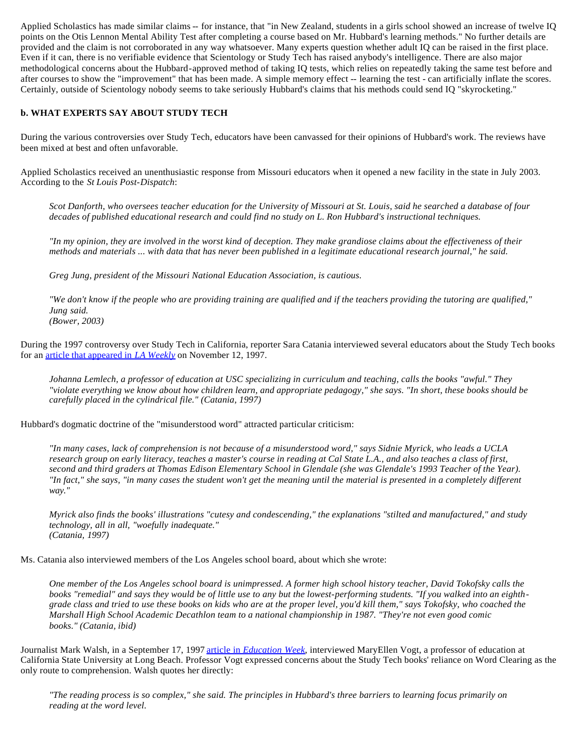Applied Scholastics has made similar claims -- for instance, that "in New Zealand, students in a girls school showed an increase of twelve IQ points on the Otis Lennon Mental Ability Test after completing a course based on Mr. Hubbard's learning methods." No further details are provided and the claim is not corroborated in any way whatsoever. Many experts question whether adult IQ can be raised in the first place. Even if it can, there is no verifiable evidence that Scientology or Study Tech has raised anybody's intelligence. There are also major methodological concerns about the Hubbard-approved method of taking IQ tests, which relies on repeatedly taking the same test before and after courses to show the "improvement" that has been made. A simple memory effect -- learning the test - can artificially inflate the scores. Certainly, outside of Scientology nobody seems to take seriously Hubbard's claims that his methods could send IQ "skyrocketing."

# **b. WHAT EXPERTS SAY ABOUT STUDY TECH**

During the various controversies over Study Tech, educators have been canvassed for their opinions of Hubbard's work. The reviews have been mixed at best and often unfavorable.

Applied Scholastics received an unenthusiastic response from Missouri educators when it opened a new facility in the state in July 2003. According to the *St Louis Post-Dispatch*:

*Scot Danforth, who oversees teacher education for the University of Missouri at St. Louis, said he searched a database of four decades of published educational research and could find no study on L. Ron Hubbard's instructional techniques.* 

*"In my opinion, they are involved in the worst kind of deception. They make grandiose claims about the effectiveness of their methods and materials ... with data that has never been published in a legitimate educational research journal," he said.*

*Greg Jung, president of the Missouri National Education Association, is cautious.* 

*"We don't know if the people who are providing training are qualified and if the teachers providing the tutoring are qualified," Jung said.*

*(Bower, 2003)*

During the 1997 controversy over Study Tech in California, reporter Sara Catania interviewed several educators about the Study Tech books for an article that appeared in *LA Weekly* on November 12, 1997.

*Johanna Lemlech, a professor of education at USC specializing in curriculum and teaching, calls the books "awful." They "violate everything we know about how children learn, and appropriate pedagogy," she says. "In short, these books should be carefully placed in the cylindrical file." (Catania, 1997)* 

Hubbard's dogmatic doctrine of the "misunderstood word" attracted particular criticism:

*"In many cases, lack of comprehension is not because of a misunderstood word," says Sidnie Myrick, who leads a UCLA research group on early literacy, teaches a master's course in reading at Cal State L.A., and also teaches a class of first, second and third graders at Thomas Edison Elementary School in Glendale (she was Glendale's 1993 Teacher of the Year). "In fact," she says, "in many cases the student won't get the meaning until the material is presented in a completely different way."*

*Myrick also finds the books' illustrations "cutesy and condescending," the explanations "stilted and manufactured," and study technology, all in all, "woefully inadequate." (Catania, 1997)*

Ms. Catania also interviewed members of the Los Angeles school board, about which she wrote:

*One member of the Los Angeles school board is unimpressed. A former high school history teacher, David Tokofsky calls the books "remedial" and says they would be of little use to any but the lowest-performing students. "If you walked into an eighthgrade class and tried to use these books on kids who are at the proper level, you'd kill them," says Tokofsky, who coached the Marshall High School Academic Decathlon team to a national championship in 1987. "They're not even good comic books." (Catania, ibid)* 

Journalist Mark Walsh, in a September 17, 1997 article in *Education Week*, interviewed MaryEllen Vogt, a professor of education at California State University at Long Beach. Professor Vogt expressed concerns about the Study Tech books' reliance on Word Clearing as the only route to comprehension. Walsh quotes her directly:

*"The reading process is so complex," she said. The principles in Hubbard's three barriers to learning focus primarily on reading at the word level.*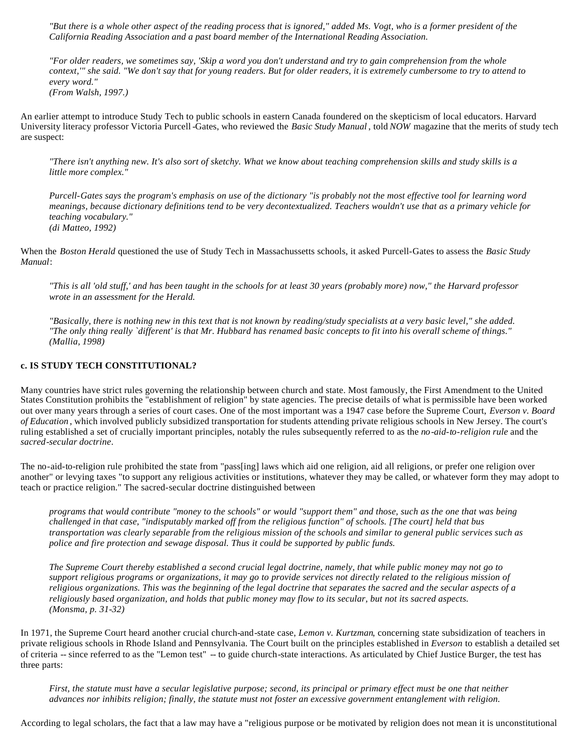*"But there is a whole other aspect of the reading process that is ignored," added Ms. Vogt, who is a former president of the California Reading Association and a past board member of the International Reading Association.* 

*"For older readers, we sometimes say, 'Skip a word you don't understand and try to gain comprehension from the whole context,'" she said. "We don't say that for young readers. But for older readers, it is extremely cumbersome to try to attend to every word." (From Walsh, 1997.)* 

An earlier attempt to introduce Study Tech to public schools in eastern Canada foundered on the skepticism of local educators. Harvard University literacy professor Victoria Purcell-Gates, who reviewed the *Basic Study Manual* , told *NOW* magazine that the merits of study tech are suspect:

*"There isn't anything new. It's also sort of sketchy. What we know about teaching comprehension skills and study skills is a little more complex."* 

*Purcell-Gates says the program's emphasis on use of the dictionary "is probably not the most effective tool for learning word meanings, because dictionary definitions tend to be very decontextualized. Teachers wouldn't use that as a primary vehicle for teaching vocabulary." (di Matteo, 1992)*

When the *Boston Herald* questioned the use of Study Tech in Massachussetts schools, it asked Purcell-Gates to assess the *Basic Study Manual*:

*"This is all 'old stuff,' and has been taught in the schools for at least 30 years (probably more) now," the Harvard professor wrote in an assessment for the Herald.*

*"Basically, there is nothing new in this text that is not known by reading/study specialists at a very basic level," she added. "The only thing really `different' is that Mr. Hubbard has renamed basic concepts to fit into his overall scheme of things." (Mallia, 1998)*

## **c. IS STUDY TECH CONSTITUTIONAL?**

Many countries have strict rules governing the relationship between church and state. Most famously, the First Amendment to the United States Constitution prohibits the "establishment of religion" by state agencies. The precise details of what is permissible have been worked out over many years through a series of court cases. One of the most important was a 1947 case before the Supreme Court, *Everson v. Board of Education* , which involved publicly subsidized transportation for students attending private religious schools in New Jersey. The court's ruling established a set of crucially important principles, notably the rules subsequently referred to as the *no-aid-to-religion rule* and the *sacred-secular doctrine*.

The no-aid-to-religion rule prohibited the state from "pass[ing] laws which aid one religion, aid all religions, or prefer one religion over another" or levying taxes "to support any religious activities or institutions, whatever they may be called, or whatever form they may adopt to teach or practice religion." The sacred-secular doctrine distinguished between

*programs that would contribute "money to the schools" or would "support them" and those, such as the one that was being challenged in that case, "indisputably marked off from the religious function" of schools. [The court] held that bus transportation was clearly separable from the religious mission of the schools and similar to general public services such as police and fire protection and sewage disposal. Thus it could be supported by public funds.* 

*The Supreme Court thereby established a second crucial legal doctrine, namely, that while public money may not go to support religious programs or organizations, it may go to provide services not directly related to the religious mission of religious organizations. This was the beginning of the legal doctrine that separates the sacred and the secular aspects of a religiously based organization, and holds that public money may flow to its secular, but not its sacred aspects. (Monsma, p. 31-32)*

In 1971, the Supreme Court heard another crucial church-and-state case, *Lemon v. Kurtzman*, concerning state subsidization of teachers in private religious schools in Rhode Island and Pennsylvania. The Court built on the principles established in *Everson* to establish a detailed set of criteria -- since referred to as the "Lemon test" -- to guide church-state interactions. As articulated by Chief Justice Burger, the test has three parts:

*First, the statute must have a secular legislative purpose; second, its principal or primary effect must be one that neither advances nor inhibits religion; finally, the statute must not foster an excessive government entanglement with religion.*

According to legal scholars, the fact that a law may have a "religious purpose or be motivated by religion does not mean it is unconstitutional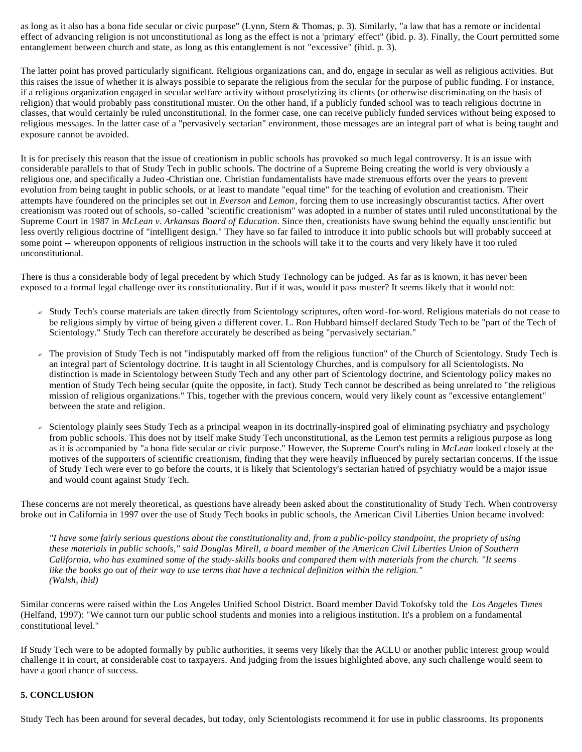as long as it also has a bona fide secular or civic purpose" (Lynn, Stern & Thomas, p. 3). Similarly, "a law that has a remote or incidental effect of advancing religion is not unconstitutional as long as the effect is not a 'primary' effect" (ibid. p. 3). Finally, the Court permitted some entanglement between church and state, as long as this entanglement is not "excessive" (ibid. p. 3).

The latter point has proved particularly significant. Religious organizations can, and do, engage in secular as well as religious activities. But this raises the issue of whether it is always possible to separate the religious from the secular for the purpose of public funding. For instance, if a religious organization engaged in secular welfare activity without proselytizing its clients (or otherwise discriminating on the basis of religion) that would probably pass constitutional muster. On the other hand, if a publicly funded school was to teach religious doctrine in classes, that would certainly be ruled unconstitutional. In the former case, one can receive publicly funded services without being exposed to religious messages. In the latter case of a "pervasively sectarian" environment, those messages are an integral part of what is being taught and exposure cannot be avoided.

It is for precisely this reason that the issue of creationism in public schools has provoked so much legal controversy. It is an issue with considerable parallels to that of Study Tech in public schools. The doctrine of a Supreme Being creating the world is very obviously a religious one, and specifically a Judeo -Christian one. Christian fundamentalists have made strenuous efforts over the years to prevent evolution from being taught in public schools, or at least to mandate "equal time" for the teaching of evolution and creationism. Their attempts have foundered on the principles set out in *Everson* and *Lemon*, forcing them to use increasingly obscurantist tactics. After overt creationism was rooted out of schools, so-called "scientific creationism" was adopted in a number of states until ruled unconstitutional by the Supreme Court in 1987 in *McLean v. Arkansas Board of Education*. Since then, creationists have swung behind the equally unscientific but less overtly religious doctrine of "intelligent design." They have so far failed to introduce it into public schools but will probably succeed at some point -- whereupon opponents of religious instruction in the schools will take it to the courts and very likely have it too ruled unconstitutional.

There is thus a considerable body of legal precedent by which Study Technology can be judged. As far as is known, it has never been exposed to a formal legal challenge over its constitutionality. But if it was, would it pass muster? It seems likely that it would not:

- $\le$  Study Tech's course materials are taken directly from Scientology scriptures, often word-for-word. Religious materials do not cease to be religious simply by virtue of being given a different cover. L. Ron Hubbard himself declared Study Tech to be "part of the Tech of Scientology." Study Tech can therefore accurately be described as being "pervasively sectarian."
- $\epsilon$  The provision of Study Tech is not "indisputably marked off from the religious function" of the Church of Scientology. Study Tech is an integral part of Scientology doctrine. It is taught in all Scientology Churches, and is compulsory for all Scientologists. No distinction is made in Scientology between Study Tech and any other part of Scientology doctrine, and Scientology policy makes no mention of Study Tech being secular (quite the opposite, in fact). Study Tech cannot be described as being unrelated to "the religious mission of religious organizations." This, together with the previous concern, would very likely count as "excessive entanglement" between the state and religion.
- $\epsilon$  Scientology plainly sees Study Tech as a principal weapon in its doctrinally-inspired goal of eliminating psychiatry and psychology from public schools. This does not by itself make Study Tech unconstitutional, as the Lemon test permits a religious purpose as long as it is accompanied by "a bona fide secular or civic purpose." However, the Supreme Court's ruling in *McLean* looked closely at the motives of the supporters of scientific creationism, finding that they were heavily influenced by purely sectarian concerns. If the issue of Study Tech were ever to go before the courts, it is likely that Scientology's sectarian hatred of psychiatry would be a major issue and would count against Study Tech.

These concerns are not merely theoretical, as questions have already been asked about the constitutionality of Study Tech. When controversy broke out in California in 1997 over the use of Study Tech books in public schools, the American Civil Liberties Union became involved:

*"I have some fairly serious questions about the constitutionality and, from a public-policy standpoint, the propriety of using these materials in public schools," said Douglas Mirell, a board member of the American Civil Liberties Union of Southern California, who has examined some of the study-skills books and compared them with materials from the church. "It seems like the books go out of their way to use terms that have a technical definition within the religion." (Walsh, ibid)* 

Similar concerns were raised within the Los Angeles Unified School District. Board member David Tokofsky told the *Los Angeles Times* (Helfand, 1997): "We cannot turn our public school students and monies into a religious institution. It's a problem on a fundamental constitutional level."

If Study Tech were to be adopted formally by public authorities, it seems very likely that the ACLU or another public interest group would challenge it in court, at considerable cost to taxpayers. And judging from the issues highlighted above, any such challenge would seem to have a good chance of success.

# **5. CONCLUSION**

Study Tech has been around for several decades, but today, only Scientologists recommend it for use in public classrooms. Its proponents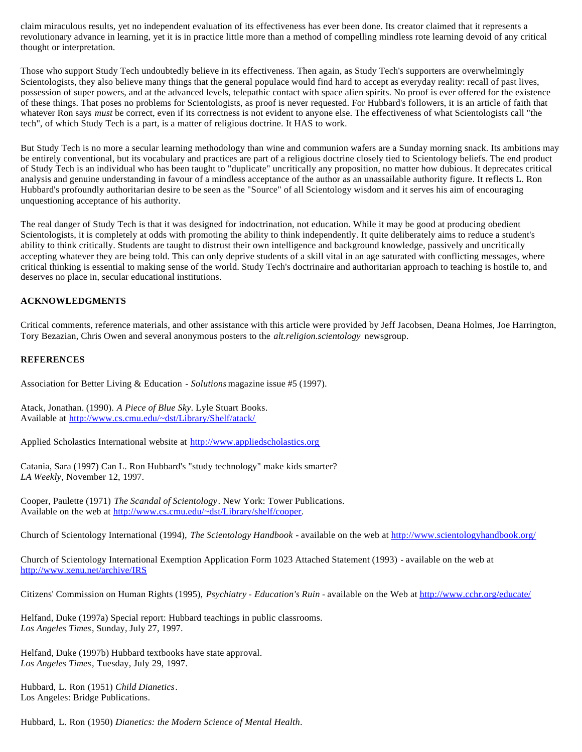claim miraculous results, yet no independent evaluation of its effectiveness has ever been done. Its creator claimed that it represents a revolutionary advance in learning, yet it is in practice little more than a method of compelling mindless rote learning devoid of any critical thought or interpretation.

Those who support Study Tech undoubtedly believe in its effectiveness. Then again, as Study Tech's supporters are overwhelmingly Scientologists, they also believe many things that the general populace would find hard to accept as everyday reality: recall of past lives, possession of super powers, and at the advanced levels, telepathic contact with space alien spirits. No proof is ever offered for the existence of these things. That poses no problems for Scientologists, as proof is never requested. For Hubbard's followers, it is an article of faith that whatever Ron says *must* be correct, even if its correctness is not evident to anyone else. The effectiveness of what Scientologists call "the tech", of which Study Tech is a part, is a matter of religious doctrine. It HAS to work.

But Study Tech is no more a secular learning methodology than wine and communion wafers are a Sunday morning snack. Its ambitions may be entirely conventional, but its vocabulary and practices are part of a religious doctrine closely tied to Scientology beliefs. The end product of Study Tech is an individual who has been taught to "duplicate" uncritically any proposition, no matter how dubious. It deprecates critical analysis and genuine understanding in favour of a mindless acceptance of the author as an unassailable authority figure. It reflects L. Ron Hubbard's profoundly authoritarian desire to be seen as the "Source" of all Scientology wisdom and it serves his aim of encouraging unquestioning acceptance of his authority.

The real danger of Study Tech is that it was designed for indoctrination, not education. While it may be good at producing obedient Scientologists, it is completely at odds with promoting the ability to think independently. It quite deliberately aims to reduce a student's ability to think critically. Students are taught to distrust their own intelligence and background knowledge, passively and uncritically accepting whatever they are being told. This can only deprive students of a skill vital in an age saturated with conflicting messages, where critical thinking is essential to making sense of the world. Study Tech's doctrinaire and authoritarian approach to teaching is hostile to, and deserves no place in, secular educational institutions.

# **ACKNOWLEDGMENTS**

Critical comments, reference materials, and other assistance with this article were provided by Jeff Jacobsen, Deana Holmes, Joe Harrington, Tory Bezazian, Chris Owen and several anonymous posters to the *alt.religion.scientology* newsgroup.

#### **REFERENCES**

Association for Better Living & Education - *Solutions* magazine issue #5 (1997).

Atack, Jonathan. (1990). *A Piece of Blue Sky*. Lyle Stuart Books. Available at http://www.cs.cmu.edu/~dst/Library/Shelf/atack/

Applied Scholastics International website at http://www.appliedscholastics.org

Catania, Sara (1997) Can L. Ron Hubbard's "study technology" make kids smarter? *LA Weekly*, November 12, 1997.

Cooper, Paulette (1971) *The Scandal of Scientology*. New York: Tower Publications. Available on the web at http://www.cs.cmu.edu/~dst/Library/shelf/cooper.

Church of Scientology International (1994), *The Scientology Handbook* - available on the web at http://www.scientologyhandbook.org/

Church of Scientology International Exemption Application Form 1023 Attached Statement (1993) - available on the web at http://www.xenu.net/archive/IRS

Citizens' Commission on Human Rights (1995), *Psychiatry - Education's Ruin* - available on the Web at http://www.cchr.org/educate/

Helfand, Duke (1997a) Special report: Hubbard teachings in public classrooms. *Los Angeles Times*, Sunday, July 27, 1997.

Helfand, Duke (1997b) Hubbard textbooks have state approval. *Los Angeles Times*, Tuesday, July 29, 1997.

Hubbard, L. Ron (1951) *Child Dianetics*. Los Angeles: Bridge Publications.

Hubbard, L. Ron (1950) *Dianetics: the Modern Science of Mental Health*.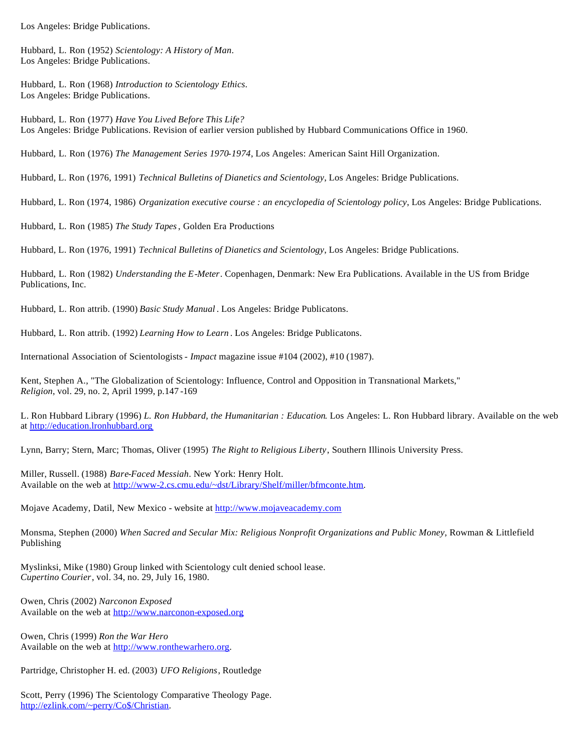Los Angeles: Bridge Publications.

Hubbard, L. Ron (1952) *Scientology: A History of Man*. Los Angeles: Bridge Publications.

Hubbard, L. Ron (1968) *Introduction to Scientology Ethics*. Los Angeles: Bridge Publications.

Hubbard, L. Ron (1977) *Have You Lived Before This Life?* Los Angeles: Bridge Publications. Revision of earlier version published by Hubbard Communications Office in 1960.

Hubbard, L. Ron (1976) *The Management Series 1970-1974*, Los Angeles: American Saint Hill Organization.

Hubbard, L. Ron (1976, 1991) *Technical Bulletins of Dianetics and Scientology*, Los Angeles: Bridge Publications.

Hubbard, L. Ron (1974, 1986) *Organization executive course : an encyclopedia of Scientology policy*, Los Angeles: Bridge Publications.

Hubbard, L. Ron (1985) *The Study Tapes*, Golden Era Productions

Hubbard, L. Ron (1976, 1991) *Technical Bulletins of Dianetics and Scientology*, Los Angeles: Bridge Publications.

Hubbard, L. Ron (1982) *Understanding the E-Meter*. Copenhagen, Denmark: New Era Publications. Available in the US from Bridge Publications, Inc.

Hubbard, L. Ron attrib. (1990) *Basic Study Manual* . Los Angeles: Bridge Publicatons.

Hubbard, L. Ron attrib. (1992) *Learning How to Learn* . Los Angeles: Bridge Publicatons.

International Association of Scientologists - *Impact* magazine issue #104 (2002), #10 (1987).

Kent, Stephen A., "The Globalization of Scientology: Influence, Control and Opposition in Transnational Markets," *Religion*, vol. 29, no. 2, April 1999, p.147 -169

L. Ron Hubbard Library (1996) *L. Ron Hubbard, the Humanitarian : Education*. Los Angeles: L. Ron Hubbard library. Available on the web at http://education.lronhubbard.org

Lynn, Barry; Stern, Marc; Thomas, Oliver (1995) *The Right to Religious Liberty*, Southern Illinois University Press.

Miller, Russell. (1988) *Bare-Faced Messiah*. New York: Henry Holt. Available on the web at http://www-2.cs.cmu.edu/~dst/Library/Shelf/miller/bfmconte.htm.

Mojave Academy, Datil, New Mexico - website at http://www.mojaveacademy.com

Monsma, Stephen (2000) *When Sacred and Secular Mix: Religious Nonprofit Organizations and Public Money*, Rowman & Littlefield Publishing

Myslinksi, Mike (1980) Group linked with Scientology cult denied school lease. *Cupertino Courier*, vol. 34, no. 29, July 16, 1980.

Owen, Chris (2002) *Narconon Exposed* Available on the web at http://www.narconon-exposed.org

Owen, Chris (1999) *Ron the War Hero* Available on the web at http://www.ronthewarhero.org.

Partridge, Christopher H. ed. (2003) *UFO Religions*, Routledge

Scott, Perry (1996) The Scientology Comparative Theology Page. http://ezlink.com/~perry/Co\$/Christian.